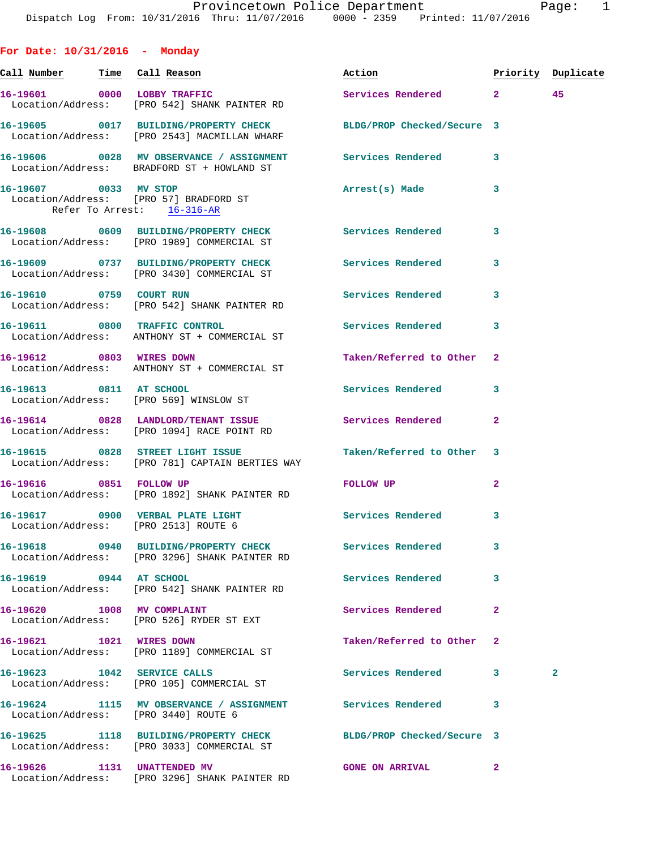**For Date: 10/31/2016 - Monday**

| <u>Call Number — Time Call Reason</u> |                                                                                               | Action                     |              | Priority Duplicate |
|---------------------------------------|-----------------------------------------------------------------------------------------------|----------------------------|--------------|--------------------|
|                                       | 16-19601 0000 LOBBY TRAFFIC<br>Location/Address: [PRO 542] SHANK PAINTER RD                   | Services Rendered 2        |              | 45                 |
|                                       | 16-19605 0017 BUILDING/PROPERTY CHECK<br>Location/Address: [PRO 2543] MACMILLAN WHARF         | BLDG/PROP Checked/Secure 3 |              |                    |
|                                       | 16-19606 0028 MV OBSERVANCE / ASSIGNMENT<br>Location/Address: BRADFORD ST + HOWLAND ST        | Services Rendered 3        |              |                    |
|                                       | 16-19607 0033 MV STOP<br>Location/Address: [PRO 57] BRADFORD ST<br>Refer To Arrest: 16-316-AR | Arrest(s) Made             | 3            |                    |
|                                       | 16-19608 0609 BUILDING/PROPERTY CHECK<br>Location/Address: [PRO 1989] COMMERCIAL ST           | Services Rendered          | 3            |                    |
|                                       | 16-19609 0737 BUILDING/PROPERTY CHECK<br>Location/Address: [PRO 3430] COMMERCIAL ST           | <b>Services Rendered</b>   | 3            |                    |
|                                       | 16-19610 0759 COURT RUN<br>Location/Address: [PRO 542] SHANK PAINTER RD                       | Services Rendered          | 3            |                    |
|                                       | 16-19611 0800 TRAFFIC CONTROL<br>Location/Address: ANTHONY ST + COMMERCIAL ST                 | Services Rendered          | 3            |                    |
|                                       | 16-19612 0803 WIRES DOWN<br>Location/Address: ANTHONY ST + COMMERCIAL ST                      | Taken/Referred to Other 2  |              |                    |
| 16-19613 0811 AT SCHOOL               | Location/Address: [PRO 569] WINSLOW ST                                                        | Services Rendered          | 3            |                    |
|                                       | 16-19614 0828 LANDLORD/TENANT ISSUE<br>Location/Address: [PRO 1094] RACE POINT RD             | Services Rendered          | $\mathbf{2}$ |                    |
|                                       | 16-19615 0828 STREET LIGHT ISSUE<br>Location/Address: [PRO 781] CAPTAIN BERTIES WAY           | Taken/Referred to Other 3  |              |                    |
|                                       | 16-19616 0851 FOLLOW UP<br>Location/Address: [PRO 1892] SHANK PAINTER RD                      | FOLLOW UP                  | 2            |                    |
|                                       | 16-19617 0900 VERBAL PLATE LIGHT<br>Location/Address: [PRO 2513] ROUTE 6                      | Services Rendered          | 3            |                    |
|                                       | 16-19618 0940 BUILDING/PROPERTY CHECK<br>Location/Address: [PRO 3296] SHANK PAINTER RD        | Services Rendered          | 3            |                    |
| 16-19619 0944 AT SCHOOL               | Location/Address: [PRO 542] SHANK PAINTER RD                                                  | Services Rendered          | 3            |                    |
| 16-19620 1008 MV COMPLAINT            | Location/Address: [PRO 526] RYDER ST EXT                                                      | Services Rendered          | 2            |                    |
| 16-19621 1021 WIRES DOWN              | Location/Address: [PRO 1189] COMMERCIAL ST                                                    | Taken/Referred to Other    | 2            |                    |
|                                       | 16-19623 1042 SERVICE CALLS<br>Location/Address: [PRO 105] COMMERCIAL ST                      | Services Rendered          | 3            | $\overline{a}$     |
|                                       | 16-19624 1115 MV OBSERVANCE / ASSIGNMENT<br>Location/Address: [PRO 3440] ROUTE 6              | Services Rendered          | 3            |                    |
|                                       | 16-19625 1118 BUILDING/PROPERTY CHECK<br>Location/Address: [PRO 3033] COMMERCIAL ST           | BLDG/PROP Checked/Secure 3 |              |                    |
| 16-19626 1131 UNATTENDED MV           | Location/Address: [PRO 3296] SHANK PAINTER RD                                                 | <b>GONE ON ARRIVAL</b>     | $\mathbf{2}$ |                    |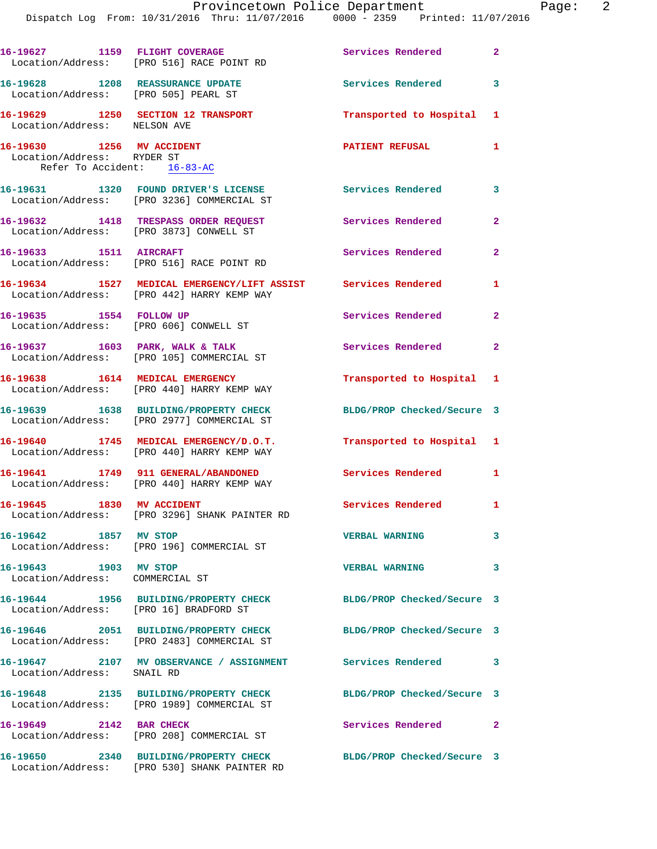|                                                                                        | 16-19627 1159 FLIGHT COVERAGE<br>Location/Address: [PRO 516] RACE POINT RD                                  | Services Rendered 2        |                         |
|----------------------------------------------------------------------------------------|-------------------------------------------------------------------------------------------------------------|----------------------------|-------------------------|
| 16-19628 1208 REASSURANCE UPDATE<br>Location/Address: [PRO 505] PEARL ST               |                                                                                                             | Services Rendered          | 3                       |
| Location/Address: NELSON AVE                                                           | 16-19629 1250 SECTION 12 TRANSPORT                                                                          | Transported to Hospital 1  |                         |
| 16-19630 1256 MV ACCIDENT<br>Location/Address: RYDER ST<br>Refer To Accident: 16-83-AC |                                                                                                             | <b>PATIENT REFUSAL</b>     | 1                       |
|                                                                                        | 16-19631 1320 FOUND DRIVER'S LICENSE<br>Location/Address: [PRO 3236] COMMERCIAL ST                          | <b>Services Rendered</b>   | $\overline{\mathbf{3}}$ |
|                                                                                        | 16-19632 1418 TRESPASS ORDER REQUEST<br>Location/Address: [PRO 3873] CONWELL ST                             | <b>Services Rendered</b>   | $\overline{2}$          |
| 16-19633 1511 AIRCRAFT                                                                 | Location/Address: [PRO 516] RACE POINT RD                                                                   | Services Rendered          | $\mathbf{2}$            |
|                                                                                        | 16-19634 1527 MEDICAL EMERGENCY/LIFT ASSIST Services Rendered<br>Location/Address: [PRO 442] HARRY KEMP WAY |                            | $\mathbf{1}$            |
| 16-19635 1554 FOLLOW UP                                                                | Location/Address: [PRO 606] CONWELL ST                                                                      | Services Rendered          | $\mathbf{2}$            |
|                                                                                        | 16-19637 1603 PARK, WALK & TALK<br>Location/Address: [PRO 105] COMMERCIAL ST                                | Services Rendered          | $\mathbf{2}$            |
|                                                                                        | 16-19638 1614 MEDICAL EMERGENCY<br>Location/Address: [PRO 440] HARRY KEMP WAY                               | Transported to Hospital 1  |                         |
|                                                                                        | 16-19639 1638 BUILDING/PROPERTY CHECK<br>Location/Address: [PRO 2977] COMMERCIAL ST                         | BLDG/PROP Checked/Secure 3 |                         |
|                                                                                        | 16-19640 1745 MEDICAL EMERGENCY/D.O.T.<br>Location/Address: [PRO 440] HARRY KEMP WAY                        | Transported to Hospital 1  |                         |
|                                                                                        | 16-19641 1749 911 GENERAL/ABANDONED<br>Location/Address: [PRO 440] HARRY KEMP WAY                           | Services Rendered 1        |                         |
| 16-19645 1830 MV ACCIDENT                                                              | Location/Address: [PRO 3296] SHANK PAINTER RD                                                               | Services Rendered 1        |                         |
| 16-19642 1857 MV STOP                                                                  | Location/Address: [PRO 196] COMMERCIAL ST                                                                   | <b>VERBAL WARNING</b>      | 3                       |
| 16-19643 1903 MV STOP<br>Location/Address: COMMERCIAL ST                               |                                                                                                             | <b>VERBAL WARNING</b>      | 3                       |
| Location/Address: [PRO 16] BRADFORD ST                                                 | 16-19644 1956 BUILDING/PROPERTY CHECK                                                                       | BLDG/PROP Checked/Secure 3 |                         |
|                                                                                        | 16-19646 2051 BUILDING/PROPERTY CHECK<br>Location/Address: [PRO 2483] COMMERCIAL ST                         | BLDG/PROP Checked/Secure 3 |                         |
| Location/Address: SNAIL RD                                                             | 16-19647 2107 MV OBSERVANCE / ASSIGNMENT Services Rendered                                                  |                            | 3                       |
|                                                                                        | 16-19648 2135 BUILDING/PROPERTY CHECK<br>Location/Address: [PRO 1989] COMMERCIAL ST                         | BLDG/PROP Checked/Secure 3 |                         |
| 16-19649 2142 BAR CHECK                                                                | Location/Address: [PRO 208] COMMERCIAL ST                                                                   | Services Rendered 2        |                         |
|                                                                                        | 16-19650 2340 BUILDING/PROPERTY CHECK<br>Location/Address: [PRO 530] SHANK PAINTER RD                       | BLDG/PROP Checked/Secure 3 |                         |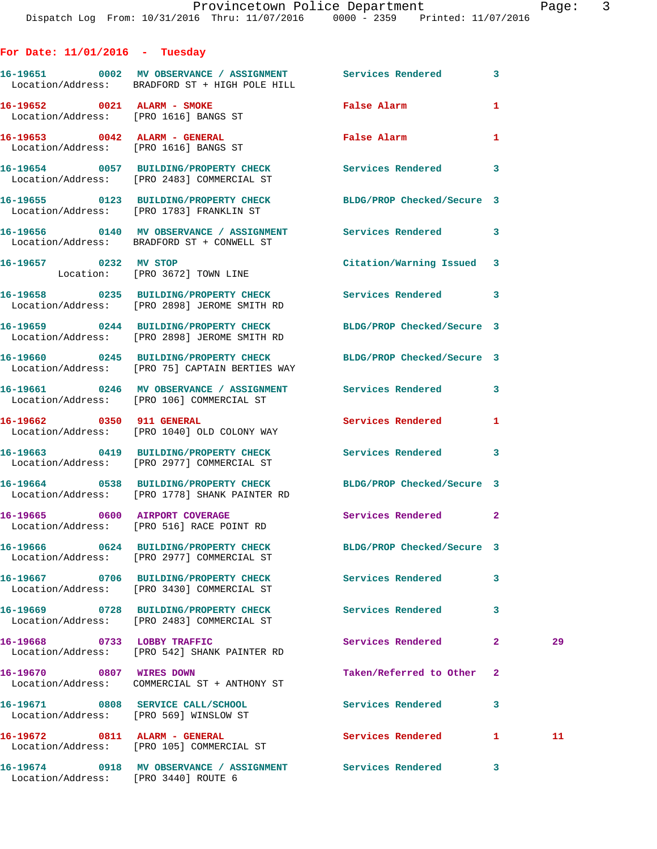## **For Date: 11/01/2016 - Tuesday**

|                                                                             | 16-19651 0002 MV OBSERVANCE / ASSIGNMENT Services Rendered<br>Location/Address: BRADFORD ST + HIGH POLE HILL      |                            | 3            |    |
|-----------------------------------------------------------------------------|-------------------------------------------------------------------------------------------------------------------|----------------------------|--------------|----|
| 16-19652 0021 ALARM - SMOKE<br>Location/Address: [PRO 1616] BANGS ST        |                                                                                                                   | False Alarm                | 1            |    |
| 16-19653 0042 ALARM - GENERAL<br>Location/Address: [PRO 1616] BANGS ST      |                                                                                                                   | <b>False Alarm</b>         | 1            |    |
|                                                                             | 16-19654 0057 BUILDING/PROPERTY CHECK<br>Location/Address: [PRO 2483] COMMERCIAL ST                               | Services Rendered 3        |              |    |
|                                                                             | 16-19655 0123 BUILDING/PROPERTY CHECK<br>Location/Address: [PRO 1783] FRANKLIN ST                                 | BLDG/PROP Checked/Secure 3 |              |    |
|                                                                             | 16-19656 0140 MV OBSERVANCE / ASSIGNMENT Services Rendered 3<br>Location/Address: BRADFORD ST + CONWELL ST        |                            |              |    |
| 16-19657 0232 MV STOP                                                       | Location: [PRO 3672] TOWN LINE                                                                                    | Citation/Warning Issued 3  |              |    |
|                                                                             | 16-19658 0235 BUILDING/PROPERTY CHECK Services Rendered 3<br>Location/Address: [PRO 2898] JEROME SMITH RD         |                            |              |    |
|                                                                             | 16-19659 0244 BUILDING/PROPERTY CHECK<br>Location/Address: [PRO 2898] JEROME SMITH RD                             | BLDG/PROP Checked/Secure 3 |              |    |
|                                                                             | 16-19660 0245 BUILDING/PROPERTY CHECK<br>Location/Address: [PRO 75] CAPTAIN BERTIES WAY                           | BLDG/PROP Checked/Secure 3 |              |    |
|                                                                             | 16-19661 6246 MV OBSERVANCE / ASSIGNMENT Services Rendered<br>Location/Address: [PRO 106] COMMERCIAL ST           |                            | 3            |    |
|                                                                             | 16-19662 0350 911 GENERAL<br>Location/Address: [PRO 1040] OLD COLONY WAY                                          | Services Rendered          | 1            |    |
|                                                                             | 16-19663 0419 BUILDING/PROPERTY CHECK<br>Location/Address: [PRO 2977] COMMERCIAL ST                               | Services Rendered 3        |              |    |
|                                                                             | 16-19664 0538 BUILDING/PROPERTY CHECK BLDG/PROP Checked/Secure 3<br>Location/Address: [PRO 1778] SHANK PAINTER RD |                            |              |    |
|                                                                             | 16-19665 0600 AIRPORT COVERAGE<br>Location/Address: [PRO 516] RACE POINT RD                                       | Services Rendered 2        |              |    |
|                                                                             | 16-19666  0624 BUILDING/PROPERTY CHECK BLDG/PROP Checked/Secure 3<br>Location/Address: [PRO 2977] COMMERCIAL ST   |                            |              |    |
|                                                                             | 16-19667 0706 BUILDING/PROPERTY CHECK<br>Location/Address: [PRO 3430] COMMERCIAL ST                               | Services Rendered          | 3            |    |
|                                                                             | 16-19669 0728 BUILDING/PROPERTY CHECK<br>Location/Address: [PRO 2483] COMMERCIAL ST                               | Services Rendered          | 3            |    |
| 16-19668 0733 LOBBY TRAFFIC                                                 | Location/Address: [PRO 542] SHANK PAINTER RD                                                                      | Services Rendered          | $\mathbf{2}$ | 29 |
| 16-19670 0807 WIRES DOWN                                                    | Location/Address: COMMERCIAL ST + ANTHONY ST                                                                      | Taken/Referred to Other    | 2            |    |
| 16-19671 0808 SERVICE CALL/SCHOOL<br>Location/Address: [PRO 569] WINSLOW ST |                                                                                                                   | Services Rendered          | 3            |    |
|                                                                             | 16-19672 0811 ALARM - GENERAL<br>Location/Address: [PRO 105] COMMERCIAL ST                                        | Services Rendered          | 1            | 11 |
| Location/Address: [PRO 3440] ROUTE 6                                        | 16-19674 0918 MV OBSERVANCE / ASSIGNMENT Services Rendered                                                        |                            | 3            |    |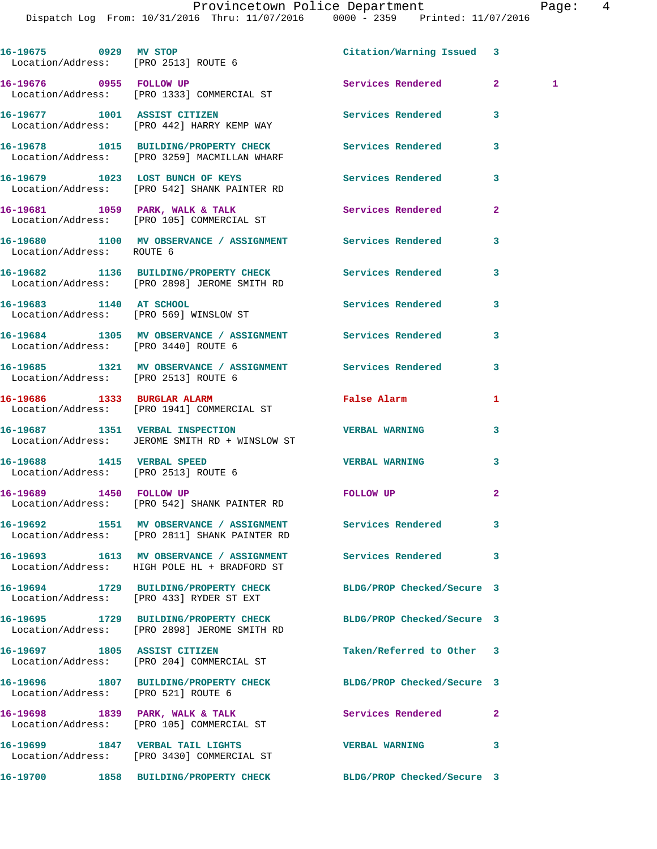| 16-19675 0929 MV STOP<br>Location/Address: [PRO 2513] ROUTE 6      |                                                                                                             | Citation/Warning Issued 3  |                      |
|--------------------------------------------------------------------|-------------------------------------------------------------------------------------------------------------|----------------------------|----------------------|
| 16-19676 0955 FOLLOW UP                                            | Location/Address: [PRO 1333] COMMERCIAL ST                                                                  | Services Rendered          | 2 <sup>1</sup><br>-1 |
|                                                                    | 16-19677 1001 ASSIST CITIZEN<br>Location/Address: [PRO 442] HARRY KEMP WAY                                  | <b>Services Rendered</b>   | 3                    |
|                                                                    | 16-19678 1015 BUILDING/PROPERTY CHECK Services Rendered<br>Location/Address: [PRO 3259] MACMILLAN WHARF     |                            | 3                    |
|                                                                    | 16-19679 1023 LOST BUNCH OF KEYS<br>Location/Address: [PRO 542] SHANK PAINTER RD                            | Services Rendered          | 3                    |
|                                                                    | 16-19681 1059 PARK, WALK & TALK 1999 Services Rendered<br>Location/Address: [PRO 105] COMMERCIAL ST         |                            | $\overline{a}$       |
| Location/Address: ROUTE 6                                          | 16-19680 1100 MV OBSERVANCE / ASSIGNMENT Services Rendered                                                  |                            | 3                    |
|                                                                    | 16-19682 1136 BUILDING/PROPERTY CHECK Services Rendered<br>Location/Address: [PRO 2898] JEROME SMITH RD     |                            | 3                    |
| 16-19683 1140 AT SCHOOL                                            | Location/Address: [PRO 569] WINSLOW ST                                                                      | Services Rendered          | 3                    |
| Location/Address: [PRO 3440] ROUTE 6                               | 16-19684 1305 MV OBSERVANCE / ASSIGNMENT Services Rendered                                                  |                            | 3                    |
| Location/Address: [PRO 2513] ROUTE 6                               | 16-19685 1321 MV OBSERVANCE / ASSIGNMENT Services Rendered                                                  |                            | 3                    |
|                                                                    | 16-19686 1333 BURGLAR ALARM<br>Location/Address: [PRO 1941] COMMERCIAL ST                                   | False Alarm                | 1                    |
|                                                                    | 16-19687 1351 VERBAL INSPECTION TERBAL WARNING<br>Location/Address: JEROME SMITH RD + WINSLOW ST            |                            | 3                    |
| 16-19688 1415 VERBAL SPEED<br>Location/Address: [PRO 2513] ROUTE 6 |                                                                                                             | <b>VERBAL WARNING</b>      | 3                    |
| 16-19689 1450 FOLLOW UP                                            | Location/Address: [PRO 542] SHANK PAINTER RD                                                                | FOLLOW UP                  | $\mathbf{2}$         |
|                                                                    | 16-19692 1551 MV OBSERVANCE / ASSIGNMENT Services Rendered<br>Location/Address: [PRO 2811] SHANK PAINTER RD |                            | 3                    |
|                                                                    | 16-19693 1613 MV OBSERVANCE / ASSIGNMENT<br>Location/Address: HIGH POLE HL + BRADFORD ST                    | Services Rendered          | 3                    |
|                                                                    | 16-19694 1729 BUILDING/PROPERTY CHECK<br>Location/Address: [PRO 433] RYDER ST EXT                           | BLDG/PROP Checked/Secure 3 |                      |
|                                                                    | 16-19695 1729 BUILDING/PROPERTY CHECK<br>Location/Address: [PRO 2898] JEROME SMITH RD                       | BLDG/PROP Checked/Secure 3 |                      |
| 16-19697 1805 ASSIST CITIZEN                                       | Location/Address: [PRO 204] COMMERCIAL ST                                                                   | Taken/Referred to Other    | 3                    |
| Location/Address: [PRO 521] ROUTE 6                                | 16-19696 1807 BUILDING/PROPERTY CHECK BLDG/PROP Checked/Secure 3                                            |                            |                      |
|                                                                    | 16-19698 1839 PARK, WALK & TALK<br>Location/Address: [PRO 105] COMMERCIAL ST                                | <b>Services Rendered</b>   | $\overline{2}$       |
|                                                                    | 16-19699 1847 VERBAL TAIL LIGHTS<br>Location/Address: [PRO 3430] COMMERCIAL ST                              | <b>VERBAL WARNING</b>      | 3                    |
|                                                                    | 16-19700 1858 BUILDING/PROPERTY CHECK                                                                       | BLDG/PROP Checked/Secure 3 |                      |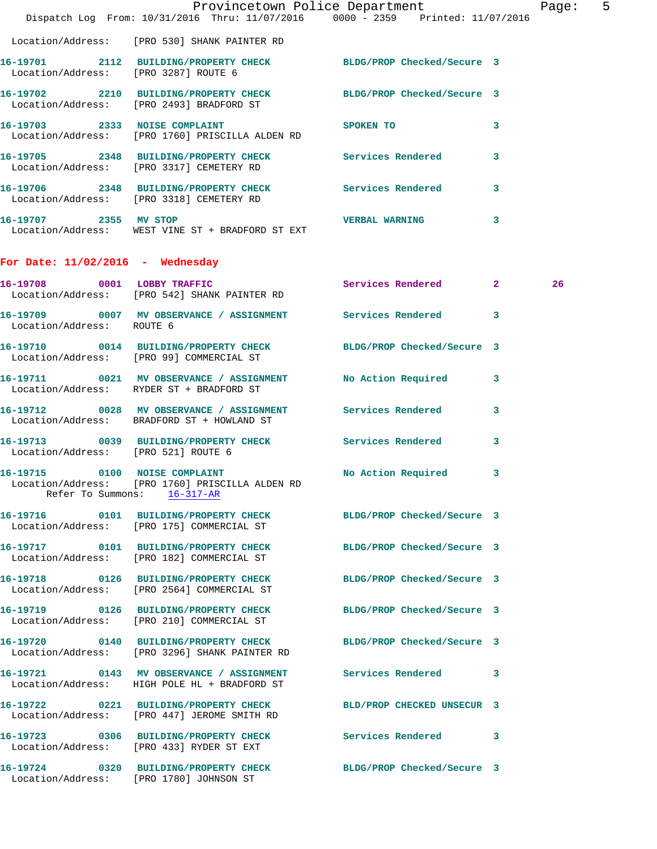|                                         | Dispatch Log From: 10/31/2016 Thru: 11/07/2016 0000 - 2359 Printed: 11/07/2016                                                         | Provincetown Police Department                                                                                 |   | Page: 5 |  |
|-----------------------------------------|----------------------------------------------------------------------------------------------------------------------------------------|----------------------------------------------------------------------------------------------------------------|---|---------|--|
|                                         | Location/Address: [PRO 530] SHANK PAINTER RD                                                                                           |                                                                                                                |   |         |  |
| Location/Address: [PRO 3287] ROUTE 6    | 16-19701 2112 BUILDING/PROPERTY CHECK BLDG/PROP Checked/Secure 3                                                                       |                                                                                                                |   |         |  |
|                                         | 16-19702 2210 BUILDING/PROPERTY CHECK BLDG/PROP Checked/Secure 3<br>Location/Address: [PRO 2493] BRADFORD ST                           |                                                                                                                |   |         |  |
|                                         | 16-19703 2333 NOISE COMPLAINT<br>Location/Address: [PRO 1760] PRISCILLA ALDEN RD                                                       | SPOKEN TO AND TO A RESIDENCE OF A RESIDENCE OF A RESIDENCE OF A RESIDENCE OF A RESIDENCE OF A RESIDENCE OF A R | 3 |         |  |
|                                         | 16-19705 2348 BUILDING/PROPERTY CHECK Services Rendered<br>Location/Address: [PRO 3317] CEMETERY RD                                    |                                                                                                                | 3 |         |  |
|                                         | 16-19706 2348 BUILDING/PROPERTY CHECK Services Rendered 3<br>Location/Address: [PRO 3318] CEMETERY RD                                  |                                                                                                                |   |         |  |
|                                         | 16-19707 2355 MV STOP 2007 2008 2355 MV STOP<br>Location/Address: WEST VINE ST + BRADFORD ST EXT                                       |                                                                                                                | 3 |         |  |
| For Date: $11/02/2016$ - Wednesday      |                                                                                                                                        |                                                                                                                |   |         |  |
|                                         | 16-19708 0001 LOBBY TRAFFIC<br>Location/Address: [PRO 542] SHANK PAINTER RD                                                            | Services Rendered 2                                                                                            |   | 26      |  |
| Location/Address: ROUTE 6               | 16-19709 0007 MV OBSERVANCE / ASSIGNMENT Services Rendered                                                                             |                                                                                                                | 3 |         |  |
|                                         | 16-19710 0014 BUILDING/PROPERTY CHECK BLDG/PROP Checked/Secure 3<br>Location/Address: [PRO 99] COMMERCIAL ST                           |                                                                                                                |   |         |  |
|                                         | 16-19711 0021 MV OBSERVANCE / ASSIGNMENT No Action Required 3<br>Location/Address: RYDER ST + BRADFORD ST                              |                                                                                                                |   |         |  |
|                                         | 16-19712 0028 MV OBSERVANCE / ASSIGNMENT Services Rendered 3<br>Location/Address: BRADFORD ST + HOWLAND ST                             |                                                                                                                |   |         |  |
| Location/Address: [PRO 521] ROUTE 6     | 16-19713 0039 BUILDING/PROPERTY CHECK Services Rendered                                                                                |                                                                                                                | 3 |         |  |
|                                         | 16-19715 0100 NOISE COMPLAINT NO Action Required 3<br>Location/Address: [PRO 1760] PRISCILLA ALDEN RD<br>Refer To Summons: $16-317-AR$ |                                                                                                                |   |         |  |
|                                         | 16-19716 0101 BUILDING/PROPERTY CHECK BLDG/PROP Checked/Secure 3<br>Location/Address: [PRO 175] COMMERCIAL ST                          |                                                                                                                |   |         |  |
|                                         | 16-19717 0101 BUILDING/PROPERTY CHECK<br>Location/Address: [PRO 182] COMMERCIAL ST                                                     | BLDG/PROP Checked/Secure 3                                                                                     |   |         |  |
|                                         | 16-19718 0126 BUILDING/PROPERTY CHECK BLDG/PROP Checked/Secure 3<br>Location/Address: [PRO 2564] COMMERCIAL ST                         |                                                                                                                |   |         |  |
|                                         | 16-19719 0126 BUILDING/PROPERTY CHECK<br>Location/Address: [PRO 210] COMMERCIAL ST                                                     | BLDG/PROP Checked/Secure 3                                                                                     |   |         |  |
|                                         | 16-19720 0140 BUILDING/PROPERTY CHECK BLDG/PROP Checked/Secure 3<br>Location/Address: [PRO 3296] SHANK PAINTER RD                      |                                                                                                                |   |         |  |
|                                         | 16-19721 0143 MV OBSERVANCE / ASSIGNMENT Services Rendered 3<br>Location/Address: HIGH POLE HL + BRADFORD ST                           |                                                                                                                |   |         |  |
|                                         | 16-19722 0221 BUILDING/PROPERTY CHECK<br>Location/Address: [PRO 447] JEROME SMITH RD                                                   | BLD/PROP CHECKED UNSECUR 3                                                                                     |   |         |  |
|                                         | 16-19723 0306 BUILDING/PROPERTY CHECK Services Rendered 3<br>Location/Address: [PRO 433] RYDER ST EXT                                  |                                                                                                                |   |         |  |
| Location/Address: [PRO 1780] JOHNSON ST | 16-19724 0320 BUILDING/PROPERTY CHECK BLDG/PROP Checked/Secure 3                                                                       |                                                                                                                |   |         |  |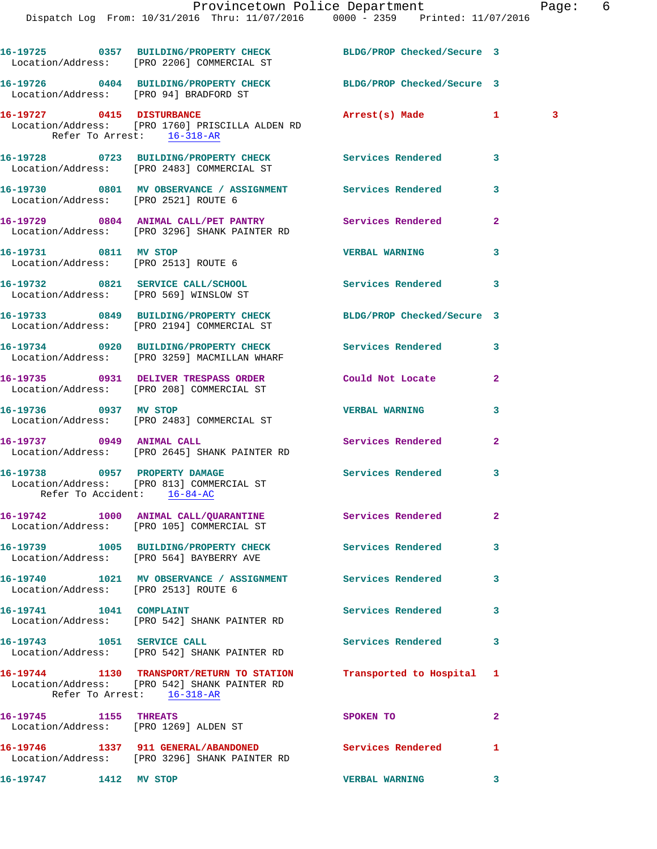|                                                               | ITOVINCCCOMI TOITCC DCPOI CHICHC<br>Dispatch Log From: 10/31/2016 Thru: 11/07/2016 0000 - 2359 Printed: 11/07/2016 |                          |                | ⊥ uy     |
|---------------------------------------------------------------|--------------------------------------------------------------------------------------------------------------------|--------------------------|----------------|----------|
|                                                               | 16-19725 0357 BUILDING/PROPERTY CHECK BLDG/PROP Checked/Secure 3<br>Location/Address: [PRO 2206] COMMERCIAL ST     |                          |                |          |
|                                                               | 16-19726 0404 BUILDING/PROPERTY CHECK BLDG/PROP Checked/Secure 3<br>Location/Address: [PRO 94] BRADFORD ST         |                          |                |          |
| Refer To Arrest: 16-318-AR                                    | 16-19727 0415 DISTURBANCE<br>Location/Address: [PRO 1760] PRISCILLA ALDEN RD                                       | Arrest(s) Made           | $\mathbf{1}$   | $\sim$ 3 |
|                                                               | 16-19728 0723 BUILDING/PROPERTY CHECK Services Rendered<br>Location/Address: [PRO 2483] COMMERCIAL ST              |                          | 3              |          |
| Location/Address: [PRO 2521] ROUTE 6                          | 16-19730 0801 MV OBSERVANCE / ASSIGNMENT Services Rendered                                                         |                          | 3              |          |
|                                                               | 16-19729 0804 ANIMAL CALL/PET PANTRY Services Rendered<br>Location/Address: [PRO 3296] SHANK PAINTER RD            |                          | $\mathbf{2}$   |          |
| 16-19731 0811 MV STOP<br>Location/Address: [PRO 2513] ROUTE 6 |                                                                                                                    | <b>VERBAL WARNING</b>    | 3              |          |
| Location/Address: [PRO 569] WINSLOW ST                        | 16-19732 0821 SERVICE CALL/SCHOOL 5ervices Rendered                                                                |                          | 3              |          |
|                                                               | 16-19733 0849 BUILDING/PROPERTY CHECK BLDG/PROP Checked/Secure 3<br>Location/Address: [PRO 2194] COMMERCIAL ST     |                          |                |          |
|                                                               | 16-19734 0920 BUILDING/PROPERTY CHECK Services Rendered<br>Location/Address: [PRO 3259] MACMILLAN WHARF            |                          | 3              |          |
|                                                               | 16-19735 0931 DELIVER TRESPASS ORDER Could Not Locate<br>Location/Address: [PRO 208] COMMERCIAL ST                 |                          | $\overline{a}$ |          |
|                                                               | 16-19736 0937 MV STOP<br>Location/Address: [PRO 2483] COMMERCIAL ST                                                | <b>VERBAL WARNING</b>    | 3              |          |
| 16-19737 0949 ANIMAL CALL                                     | Location/Address: [PRO 2645] SHANK PAINTER RD                                                                      | Services Rendered        | $\overline{2}$ |          |
| Refer To Accident: 16-84-AC                                   | 16-19738 0957 PROPERTY DAMAGE<br>Location/Address: [PRO 813] COMMERCIAL ST                                         | Services Rendered        | 3              |          |
|                                                               | 16-19742 1000 ANIMAL CALL/QUARANTINE Services Rendered<br>Location/Address: [PRO 105] COMMERCIAL ST                |                          | $\overline{a}$ |          |
|                                                               | 16-19739 1005 BUILDING/PROPERTY CHECK Services Rendered<br>Location/Address: [PRO 564] BAYBERRY AVE                |                          | 3              |          |
| Location/Address: [PRO 2513] ROUTE 6                          | 16-19740 1021 MV OBSERVANCE / ASSIGNMENT Services Rendered                                                         |                          | 3              |          |
|                                                               | 16-19741    1041    COMPLAINT<br>Location/Address: [PRO 542] SHANK PAINTER RD                                      | <b>Services Rendered</b> | 3              |          |
| 16-19743 1051 SERVICE CALL                                    | Location/Address: [PRO 542] SHANK PAINTER RD                                                                       | Services Rendered        | 3              |          |
| Refer To Arrest: 16-318-AR                                    | 16-19744 1130 TRANSPORT/RETURN TO STATION<br>Location/Address: [PRO 542] SHANK PAINTER RD                          | Transported to Hospital  | 1              |          |
| 16-19745 1155 THREATS                                         | Location/Address: [PRO 1269] ALDEN ST                                                                              | SPOKEN TO                | $\overline{2}$ |          |
|                                                               | 16-19746 1337 911 GENERAL/ABANDONED<br>Location/Address: [PRO 3296] SHANK PAINTER RD                               | Services Rendered        | 1              |          |
| 16-19747 1412 MV STOP                                         |                                                                                                                    | <b>VERBAL WARNING</b>    | 3              |          |

Provincetown Police Department Fage: 6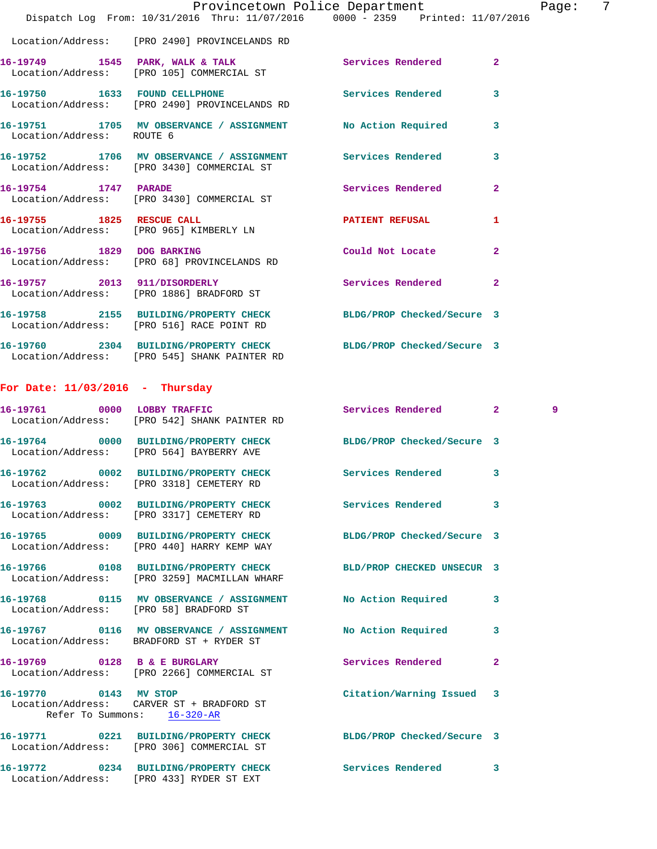|                                        | Dispatch Log From: 10/31/2016 Thru: 11/07/2016 0000 - 2359 Printed: 11/07/2016                                   | Provincetown Police Department |                | Page: 7 |  |
|----------------------------------------|------------------------------------------------------------------------------------------------------------------|--------------------------------|----------------|---------|--|
|                                        | Location/Address: [PRO 2490] PROVINCELANDS RD                                                                    |                                |                |         |  |
|                                        | 16-19749 1545 PARK, WALK & TALK (2008) Services Rendered 2 (2008) Location / Address: [PRO 105] COMMERCIAL ST    |                                |                |         |  |
|                                        | 16-19750 1633 FOUND CELLPHONE 2000 Services Rendered<br>Location/Address: [PRO 2490] PROVINCELANDS RD            |                                | 3              |         |  |
| Location/Address: ROUTE 6              | 16-19751 1705 MV OBSERVANCE / ASSIGNMENT No Action Required                                                      |                                | 3              |         |  |
|                                        | 16-19752 1706 MV OBSERVANCE / ASSIGNMENT Services Rendered<br>Location/Address: [PRO 3430] COMMERCIAL ST         |                                | 3              |         |  |
| 16-19754 1747 PARADE                   | Location/Address: [PRO 3430] COMMERCIAL ST                                                                       | Services Rendered              | $\overline{2}$ |         |  |
|                                        | 16-19755 1825 RESCUE CALL<br>Location/Address: [PRO 965] KIMBERLY LN                                             | PATIENT REFUSAL                | $\mathbf{1}$   |         |  |
|                                        | 16-19756 1829 DOG BARKING<br>Location/Address: [PRO 68] PROVINCELANDS RD                                         | Could Not Locate               | $\overline{2}$ |         |  |
|                                        | 16-19757 2013 911/DISORDERLY<br>Location/Address: [PRO 1886] BRADFORD ST                                         | Services Rendered              | $\mathbf{2}$   |         |  |
|                                        | 16-19758 2155 BUILDING/PROPERTY CHECK BLDG/PROP Checked/Secure 3<br>Location/Address: [PRO 516] RACE POINT RD    |                                |                |         |  |
|                                        | 16-19760 2304 BUILDING/PROPERTY CHECK BLDG/PROP Checked/Secure 3<br>Location/Address: [PRO 545] SHANK PAINTER RD |                                |                |         |  |
| For Date: $11/03/2016$ - Thursday      |                                                                                                                  |                                |                |         |  |
|                                        | 16-19761 0000 LOBBY TRAFFIC<br>Location/Address: [PRO 542] SHANK PAINTER RD                                      | Services Rendered 2            |                | 9       |  |
|                                        | 16-19764 0000 BUILDING/PROPERTY CHECK BLDG/PROP Checked/Secure 3<br>Location/Address: [PRO 564] BAYBERRY AVE     |                                |                |         |  |
|                                        | 16-19762 0002 BUILDING/PROPERTY CHECK Services Rendered 3<br>Location/Address: [PRO 3318] CEMETERY RD            |                                |                |         |  |
|                                        | 16-19763 0002 BUILDING/PROPERTY CHECK Services Rendered<br>Location/Address: [PRO 3317] CEMETERY RD              |                                | 3              |         |  |
|                                        | 16-19765 0009 BUILDING/PROPERTY CHECK BLDG/PROP Checked/Secure 3<br>Location/Address: [PRO 440] HARRY KEMP WAY   |                                |                |         |  |
|                                        | 16-19766 0108 BUILDING/PROPERTY CHECK<br>Location/Address: [PRO 3259] MACMILLAN WHARF                            | BLD/PROP CHECKED UNSECUR 3     |                |         |  |
| Location/Address: [PRO 58] BRADFORD ST | 16-19768 0115 MV OBSERVANCE / ASSIGNMENT                                                                         | No Action Required             | 3              |         |  |
|                                        | 16-19767 0116 MV OBSERVANCE / ASSIGNMENT<br>Location/Address: BRADFORD ST + RYDER ST                             | No Action Required             | 3              |         |  |
|                                        | 16-19769 0128 B & E BURGLARY<br>Location/Address: [PRO 2266] COMMERCIAL ST                                       | Services Rendered              | 2              |         |  |
| 16-19770 0143 MV STOP                  | Location/Address: CARVER ST + BRADFORD ST<br>Refer To Summons: 16-320-AR                                         | Citation/Warning Issued 3      |                |         |  |
|                                        | 16-19771 0221 BUILDING/PROPERTY CHECK BLDG/PROP Checked/Secure 3<br>Location/Address: [PRO 306] COMMERCIAL ST    |                                |                |         |  |
|                                        | 16-19772 0234 BUILDING/PROPERTY CHECK<br>Location/Address: [PRO 433] RYDER ST EXT                                | Services Rendered              | 3              |         |  |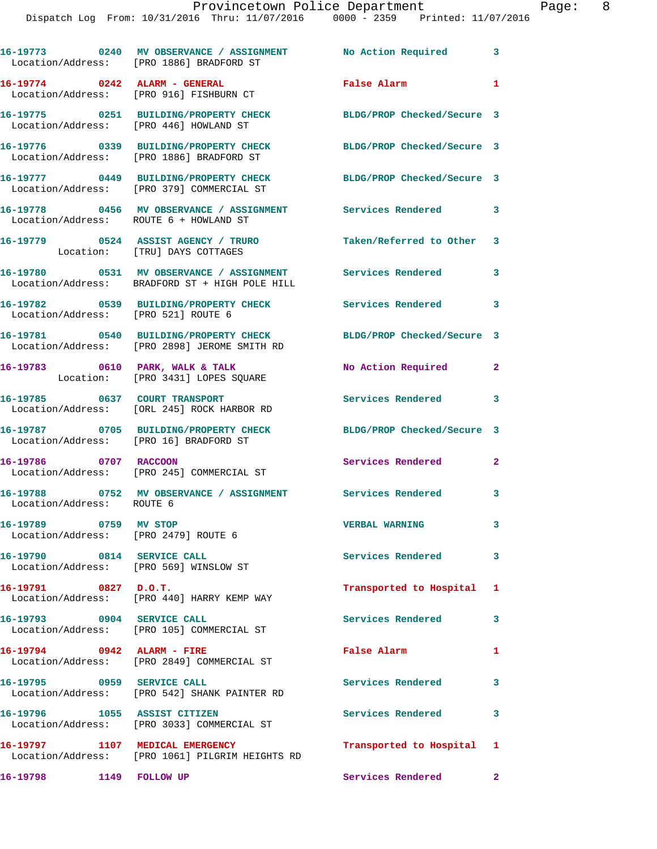|                                                                      | 16-19773 0240 MV OBSERVANCE / ASSIGNMENT No Action Required 3<br>Location/Address: [PRO 1886] BRADFORD ST        |                            |                |
|----------------------------------------------------------------------|------------------------------------------------------------------------------------------------------------------|----------------------------|----------------|
|                                                                      | 16-19774 0242 ALARM - GENERAL<br>Location/Address: [PRO 916] FISHBURN CT                                         | <b>False Alarm</b>         | $\blacksquare$ |
| Location/Address: [PRO 446] HOWLAND ST                               | 16-19775 0251 BUILDING/PROPERTY CHECK BLDG/PROP Checked/Secure 3                                                 |                            |                |
|                                                                      | 16-19776 0339 BUILDING/PROPERTY CHECK<br>Location/Address: [PRO 1886] BRADFORD ST                                | BLDG/PROP Checked/Secure 3 |                |
|                                                                      | 16-19777 0449 BUILDING/PROPERTY CHECK<br>Location/Address: [PRO 379] COMMERCIAL ST                               | BLDG/PROP Checked/Secure 3 |                |
| Location/Address: ROUTE 6 + HOWLAND ST                               | 16-19778 0456 MV OBSERVANCE / ASSIGNMENT Services Rendered 3                                                     |                            |                |
|                                                                      | 16-19779 0524 ASSIST AGENCY / TRURO Taken/Referred to Other 3<br>Location: [TRU] DAYS COTTAGES                   |                            |                |
|                                                                      | 16-19780 0531 MV OBSERVANCE / ASSIGNMENT Services Rendered 3<br>Location/Address: BRADFORD ST + HIGH POLE HILL   |                            |                |
| Location/Address: [PRO 521] ROUTE 6                                  | 16-19782 0539 BUILDING/PROPERTY CHECK Services Rendered                                                          |                            | $\mathbf{3}$   |
|                                                                      | 16-19781 0540 BUILDING/PROPERTY CHECK BLDG/PROP Checked/Secure 3<br>Location/Address: [PRO 2898] JEROME SMITH RD |                            |                |
|                                                                      | 16-19783 0610 PARK, WALK & TALK<br>Location: [PRO 3431] LOPES SQUARE                                             | No Action Required         | $\mathbf{2}$   |
| 16-19785 0637 COURT TRANSPORT                                        | Location/Address: [ORL 245] ROCK HARBOR RD                                                                       | Services Rendered 3        |                |
| Location/Address: [PRO 16] BRADFORD ST                               | 16-19787 0705 BUILDING/PROPERTY CHECK BLDG/PROP Checked/Secure 3                                                 |                            |                |
| 16-19786 0707 RACCOON                                                | Location/Address: [PRO 245] COMMERCIAL ST                                                                        | Services Rendered          | $\mathbf{2}$   |
| Location/Address: ROUTE 6                                            | 16-19788 0752 MV OBSERVANCE / ASSIGNMENT Services Rendered 3                                                     |                            |                |
| 16-19789 0759 MV STOP<br>Location/Address: [PRO 2479] ROUTE 6        |                                                                                                                  | <b>VERBAL WARNING</b>      | 3              |
| 16-19790 0814 SERVICE CALL<br>Location/Address: [PRO 569] WINSLOW ST |                                                                                                                  | Services Rendered          | $\mathbf{3}$   |
| 16-19791 0827 D.O.T.                                                 | Location/Address: [PRO 440] HARRY KEMP WAY                                                                       | Transported to Hospital 1  |                |
| 16-19793 0904 SERVICE CALL                                           | Location/Address: [PRO 105] COMMERCIAL ST                                                                        | Services Rendered          | 3              |
| 16-19794 0942 ALARM - FIRE                                           | Location/Address: [PRO 2849] COMMERCIAL ST                                                                       | False Alarm                | $\mathbf{1}$   |
| 16-19795 0959 SERVICE CALL                                           | Location/Address: [PRO 542] SHANK PAINTER RD                                                                     | Services Rendered          | 3              |
| 16-19796 1055 ASSIST CITIZEN                                         | Location/Address: [PRO 3033] COMMERCIAL ST                                                                       | Services Rendered          | 3              |
|                                                                      |                                                                                                                  | Transported to Hospital 1  |                |
| 16-19798 1149 FOLLOW UP                                              |                                                                                                                  | Services Rendered          | $\mathbf{2}$   |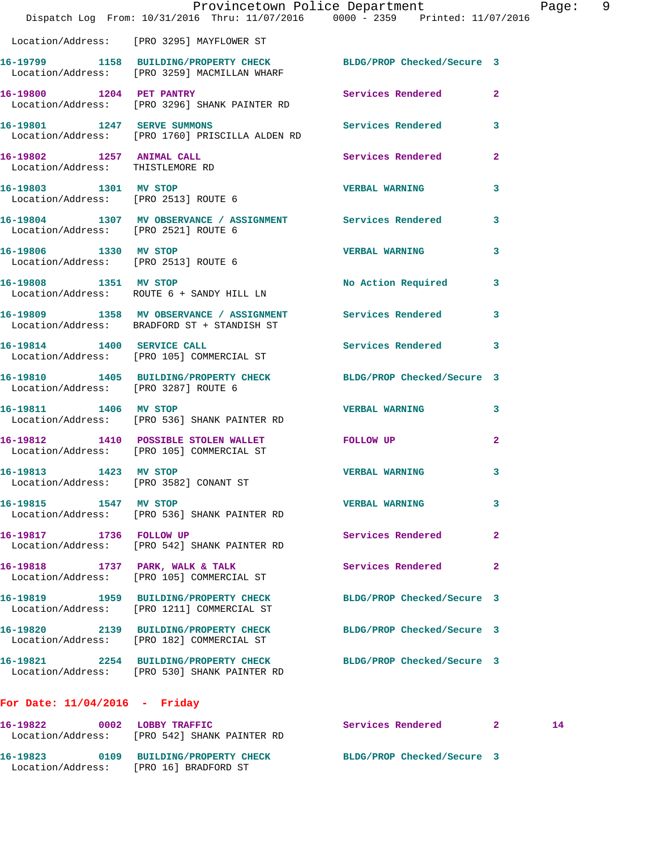|                                                               | Dispatch Log From: 10/31/2016 Thru: 11/07/2016 0000 - 2359 Printed: 11/07/2016                                   | Provincetown Police Department |              | Page: 9 |  |
|---------------------------------------------------------------|------------------------------------------------------------------------------------------------------------------|--------------------------------|--------------|---------|--|
|                                                               | Location/Address: [PRO 3295] MAYFLOWER ST                                                                        |                                |              |         |  |
|                                                               | 16-19799 1158 BUILDING/PROPERTY CHECK BLDG/PROP Checked/Secure 3<br>Location/Address: [PRO 3259] MACMILLAN WHARF |                                |              |         |  |
|                                                               | 16-19800 1204 PET PANTRY<br>Location/Address: [PRO 3296] SHANK PAINTER RD                                        | Services Rendered 2            |              |         |  |
| 16-19801 1247 SERVE SUMMONS                                   | Location/Address: [PRO 1760] PRISCILLA ALDEN RD                                                                  | Services Rendered 3            |              |         |  |
| 16-19802 1257 ANIMAL CALL<br>Location/Address: THISTLEMORE RD |                                                                                                                  | <b>Services Rendered</b>       | $\mathbf{2}$ |         |  |
| 16-19803 1301 MV STOP                                         | Location/Address: [PRO 2513] ROUTE 6                                                                             | <b>VERBAL WARNING</b>          | 3            |         |  |
|                                                               | 16-19804 1307 MV OBSERVANCE / ASSIGNMENT Services Rendered 3<br>Location/Address: [PRO 2521] ROUTE 6             |                                |              |         |  |
| 16-19806 1330 MV STOP<br>Location/Address: [PRO 2513] ROUTE 6 |                                                                                                                  | <b>VERBAL WARNING</b>          | 3            |         |  |
| 16-19808 1351 MV STOP                                         | Location/Address: ROUTE 6 + SANDY HILL LN                                                                        | No Action Required 3           |              |         |  |
|                                                               | 16-19809 1358 MV OBSERVANCE / ASSIGNMENT Services Rendered<br>Location/Address: BRADFORD ST + STANDISH ST        |                                | 3            |         |  |
|                                                               | 16-19814 1400 SERVICE CALL<br>Location/Address: [PRO 105] COMMERCIAL ST                                          | Services Rendered 3            |              |         |  |
| Location/Address: [PRO 3287] ROUTE 6                          | 16-19810 1405 BUILDING/PROPERTY CHECK BLDG/PROP Checked/Secure 3                                                 |                                |              |         |  |
| 16-19811 1406 MV STOP                                         | Location/Address: [PRO 536] SHANK PAINTER RD                                                                     | <b>VERBAL WARNING</b>          | 3            |         |  |
|                                                               | 16-19812 1410 POSSIBLE STOLEN WALLET FOLLOW UP<br>Location/Address: [PRO 105] COMMERCIAL ST                      |                                | $\mathbf{2}$ |         |  |
| 16-19813 1423 MV STOP                                         | Location/Address: [PRO 3582] CONANT ST                                                                           | VERBAL WARNING                 | 3            |         |  |
| 16-19815 1547 MV STOP                                         | Location/Address: [PRO 536] SHANK PAINTER RD                                                                     | <b>VERBAL WARNING</b>          | 3            |         |  |
| 16-19817 1736 FOLLOW UP                                       | Location/Address: [PRO 542] SHANK PAINTER RD                                                                     | Services Rendered              | 2            |         |  |
|                                                               | 16-19818 1737 PARK, WALK & TALK<br>Location/Address: [PRO 105] COMMERCIAL ST                                     | Services Rendered              | 2            |         |  |
|                                                               | 16-19819 1959 BUILDING/PROPERTY CHECK<br>Location/Address: [PRO 1211] COMMERCIAL ST                              | BLDG/PROP Checked/Secure 3     |              |         |  |
|                                                               | 16-19820 2139 BUILDING/PROPERTY CHECK<br>Location/Address: [PRO 182] COMMERCIAL ST                               | BLDG/PROP Checked/Secure 3     |              |         |  |
|                                                               | 16-19821 2254 BUILDING/PROPERTY CHECK<br>Location/Address: [PRO 530] SHANK PAINTER RD                            | BLDG/PROP Checked/Secure 3     |              |         |  |
| For Date: $11/04/2016$ - Friday                               |                                                                                                                  |                                |              |         |  |
| 16-19822 0002 LOBBY TRAFFIC                                   | Location/Address: [PRO 542] SHANK PAINTER RD                                                                     | Services Rendered 2            |              | 14      |  |
| Location/Address: [PRO 16] BRADFORD ST                        | 16-19823 0109 BUILDING/PROPERTY CHECK                                                                            | BLDG/PROP Checked/Secure 3     |              |         |  |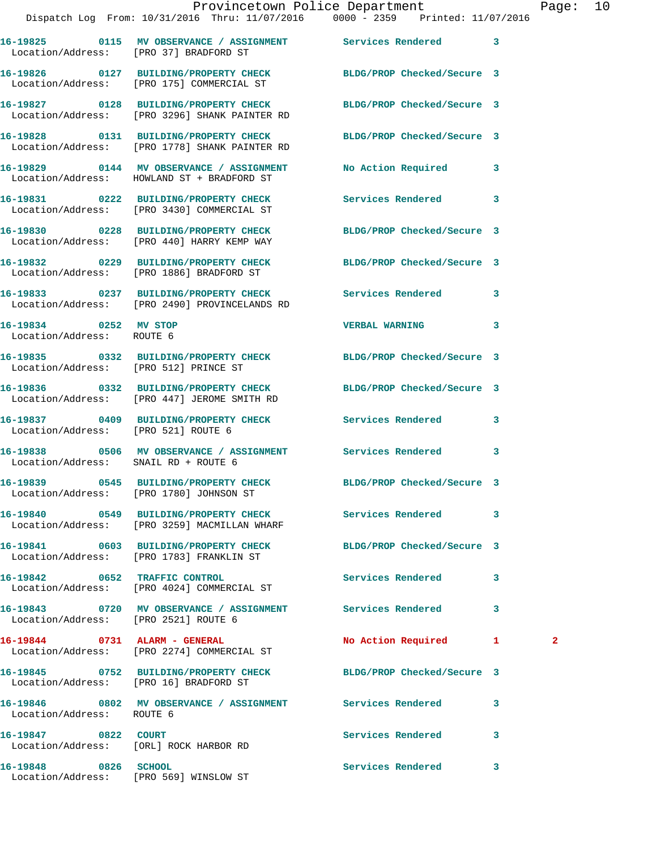|                                                               | Dispatch Log From: 10/31/2016 Thru: 11/07/2016 0000 - 2359 Printed: 11/07/2016                                    | Provincetown Police Department Page: 10 |              |   |  |
|---------------------------------------------------------------|-------------------------------------------------------------------------------------------------------------------|-----------------------------------------|--------------|---|--|
| Location/Address: [PRO 37] BRADFORD ST                        | 16-19825 0115 MV OBSERVANCE / ASSIGNMENT Services Rendered 3                                                      |                                         |              |   |  |
|                                                               | 16-19826 0127 BUILDING/PROPERTY CHECK BLDG/PROP Checked/Secure 3<br>Location/Address: [PRO 175] COMMERCIAL ST     |                                         |              |   |  |
|                                                               | 16-19827 0128 BUILDING/PROPERTY CHECK BLDG/PROP Checked/Secure 3<br>Location/Address: [PRO 3296] SHANK PAINTER RD |                                         |              |   |  |
|                                                               | 16-19828 0131 BUILDING/PROPERTY CHECK BLDG/PROP Checked/Secure 3<br>Location/Address: [PRO 1778] SHANK PAINTER RD |                                         |              |   |  |
|                                                               | 16-19829 0144 MV OBSERVANCE / ASSIGNMENT<br>Location/Address: HOWLAND ST + BRADFORD ST                            | No Action Required 3                    |              |   |  |
|                                                               | 16-19831 0222 BUILDING/PROPERTY CHECK Services Rendered 3<br>Location/Address: [PRO 3430] COMMERCIAL ST           |                                         |              |   |  |
|                                                               | 16-19830 0228 BUILDING/PROPERTY CHECK BLDG/PROP Checked/Secure 3<br>Location/Address: [PRO 440] HARRY KEMP WAY    |                                         |              |   |  |
|                                                               | 16-19832 0229 BUILDING/PROPERTY CHECK BLDG/PROP Checked/Secure 3<br>Location/Address: [PRO 1886] BRADFORD ST      |                                         |              |   |  |
|                                                               | 16-19833 0237 BUILDING/PROPERTY CHECK Services Rendered 3<br>Location/Address: [PRO 2490] PROVINCELANDS RD        |                                         |              |   |  |
| 16-19834 0252 MV STOP<br>Location/Address: ROUTE 6            |                                                                                                                   | <b>VERBAL WARNING</b>                   | 3            |   |  |
| Location/Address: [PRO 512] PRINCE ST                         | 16-19835 0332 BUILDING/PROPERTY CHECK BLDG/PROP Checked/Secure 3                                                  |                                         |              |   |  |
|                                                               | 16-19836 0332 BUILDING/PROPERTY CHECK<br>Location/Address: [PRO 447] JEROME SMITH RD                              | BLDG/PROP Checked/Secure 3              |              |   |  |
| Location/Address: [PRO 521] ROUTE 6                           | 16-19837 0409 BUILDING/PROPERTY CHECK Services Rendered 3                                                         |                                         |              |   |  |
| Location/Address: SNAIL RD + ROUTE 6                          | 16-19838 0506 MV OBSERVANCE / ASSIGNMENT Services Rendered 3                                                      |                                         |              |   |  |
|                                                               | 16-19839 0545 BUILDING/PROPERTY CHECK<br>Location/Address: [PRO 1780] JOHNSON ST                                  | BLDG/PROP Checked/Secure 3              |              |   |  |
|                                                               | 16-19840 0549 BUILDING/PROPERTY CHECK Services Rendered 3<br>Location/Address: [PRO 3259] MACMILLAN WHARF         |                                         |              |   |  |
|                                                               | 16-19841 0603 BUILDING/PROPERTY CHECK<br>Location/Address: [PRO 1783] FRANKLIN ST                                 | BLDG/PROP Checked/Secure 3              |              |   |  |
|                                                               | 16-19842 0652 TRAFFIC CONTROL<br>Location/Address: [PRO 4024] COMMERCIAL ST                                       | <b>Services Rendered</b>                | $\mathbf{3}$ |   |  |
| Location/Address: [PRO 2521] ROUTE 6                          | 16-19843 0720 MV OBSERVANCE / ASSIGNMENT Services Rendered 3                                                      |                                         |              |   |  |
|                                                               | 16-19844 0731 ALARM - GENERAL<br>Location/Address: [PRO 2274] COMMERCIAL ST                                       | No Action Required 1                    |              | 2 |  |
| Location/Address: [PRO 16] BRADFORD ST                        | 16-19845 0752 BUILDING/PROPERTY CHECK BLDG/PROP Checked/Secure 3                                                  |                                         |              |   |  |
| Location/Address: ROUTE 6                                     | 16-19846 0802 MV OBSERVANCE / ASSIGNMENT Services Rendered                                                        |                                         | 3            |   |  |
| 16-19847 0822 COURT<br>Location/Address: [ORL] ROCK HARBOR RD |                                                                                                                   | Services Rendered 3                     |              |   |  |
| 16-19848 0826 SCHOOL                                          |                                                                                                                   | Services Rendered                       | $\mathbf{3}$ |   |  |

Location/Address: [PRO 569] WINSLOW ST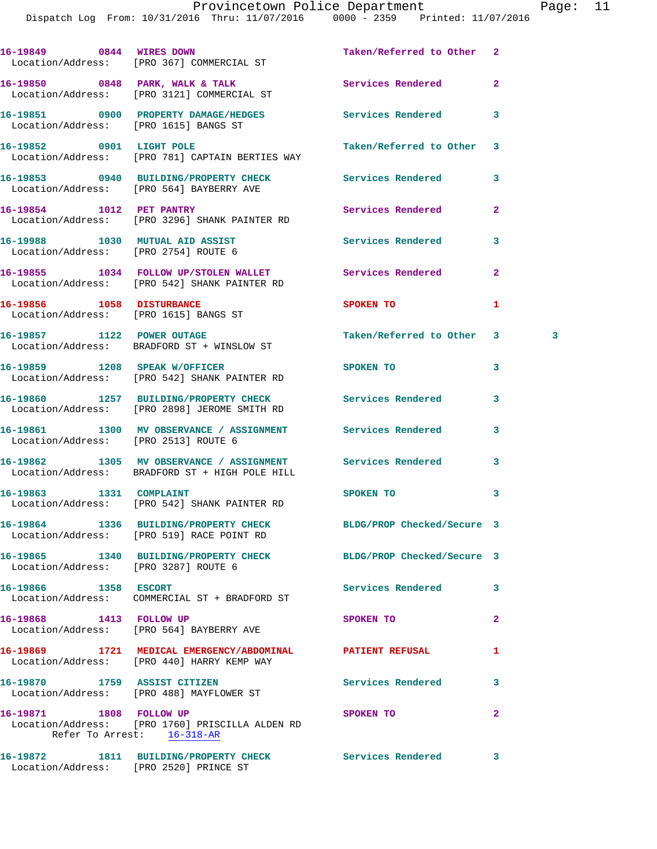|                                        | 16-19849 0844 WIRES DOWN<br>Location/Address: [PRO 367] COMMERCIAL ST                                        | Taken/Referred to Other 2  |                |   |
|----------------------------------------|--------------------------------------------------------------------------------------------------------------|----------------------------|----------------|---|
|                                        | 16-19850 0848 PARK, WALK & TALK 3 Services Rendered<br>Location/Address: [PRO 3121] COMMERCIAL ST            |                            | $\overline{2}$ |   |
| Location/Address: [PRO 1615] BANGS ST  | 16-19851 0900 PROPERTY DAMAGE/HEDGES                                                                         | Services Rendered          | 3              |   |
|                                        | 16-19852 0901 LIGHT POLE<br>Location/Address: [PRO 781] CAPTAIN BERTIES WAY                                  | Taken/Referred to Other    | 3              |   |
|                                        | 16-19853 0940 BUILDING/PROPERTY CHECK Services Rendered<br>Location/Address: [PRO 564] BAYBERRY AVE          |                            | 3              |   |
| 16-19854 1012 PET PANTRY               | Location/Address: [PRO 3296] SHANK PAINTER RD                                                                | Services Rendered          | $\overline{2}$ |   |
|                                        | 16-19988 1030 MUTUAL AID ASSIST<br>Location/Address: [PRO 2754] ROUTE 6                                      | <b>Services Rendered</b>   | 3              |   |
|                                        | 16-19855 1034 FOLLOW UP/STOLEN WALLET Services Rendered<br>Location/Address: [PRO 542] SHANK PAINTER RD      |                            | $\mathbf{2}$   |   |
| 16-19856 1058 DISTURBANCE              | Location/Address: [PRO 1615] BANGS ST                                                                        | <b>SPOKEN TO</b>           | 1              |   |
|                                        | 16-19857 1122 POWER OUTAGE<br>Location/Address: BRADFORD ST + WINSLOW ST                                     | Taken/Referred to Other    | 3              | 3 |
|                                        | 16-19859 1208 SPEAK W/OFFICER<br>Location/Address: [PRO 542] SHANK PAINTER RD                                | SPOKEN TO                  | 3              |   |
|                                        | 16-19860 1257 BUILDING/PROPERTY CHECK<br>Location/Address: [PRO 2898] JEROME SMITH RD                        | Services Rendered          | 3              |   |
| Location/Address: [PRO 2513] ROUTE 6   | 16-19861 1300 MV OBSERVANCE / ASSIGNMENT Services Rendered                                                   |                            | 3              |   |
|                                        | 16-19862 1305 MV OBSERVANCE / ASSIGNMENT Services Rendered<br>Location/Address: BRADFORD ST + HIGH POLE HILL |                            | 3              |   |
| 16-19863 1331 COMPLAINT                | Location/Address: [PRO 542] SHANK PAINTER RD                                                                 | SPOKEN TO                  | 3              |   |
|                                        | 16-19864 1336 BUILDING/PROPERTY CHECK<br>Location/Address: [PRO 519] RACE POINT RD                           | BLDG/PROP Checked/Secure 3 |                |   |
| Location/Address: [PRO 3287] ROUTE 6   | 16-19865 1340 BUILDING/PROPERTY CHECK                                                                        | BLDG/PROP Checked/Secure 3 |                |   |
| 16-19866 1358 ESCORT                   | Location/Address: COMMERCIAL ST + BRADFORD ST                                                                | Services Rendered          | 3              |   |
| 16-19868 1413 FOLLOW UP                | Location/Address: [PRO 564] BAYBERRY AVE                                                                     | SPOKEN TO                  | $\mathbf{2}$   |   |
|                                        | 16-19869 1721 MEDICAL EMERGENCY/ABDOMINAL PATIENT REFUSAL<br>Location/Address: [PRO 440] HARRY KEMP WAY      |                            | 1              |   |
| 16-19870 1759 ASSIST CITIZEN           | Location/Address: [PRO 488] MAYFLOWER ST                                                                     | Services Rendered          | 3              |   |
| 16-19871 1808 FOLLOW UP                | Location/Address: [PRO 1760] PRISCILLA ALDEN RD<br>Refer To Arrest: 16-318-AR                                | SPOKEN TO                  | $\mathbf{2}$   |   |
| Location/Address: [PRO 2520] PRINCE ST | 16-19872 1811 BUILDING/PROPERTY CHECK                                                                        | Services Rendered          | 3              |   |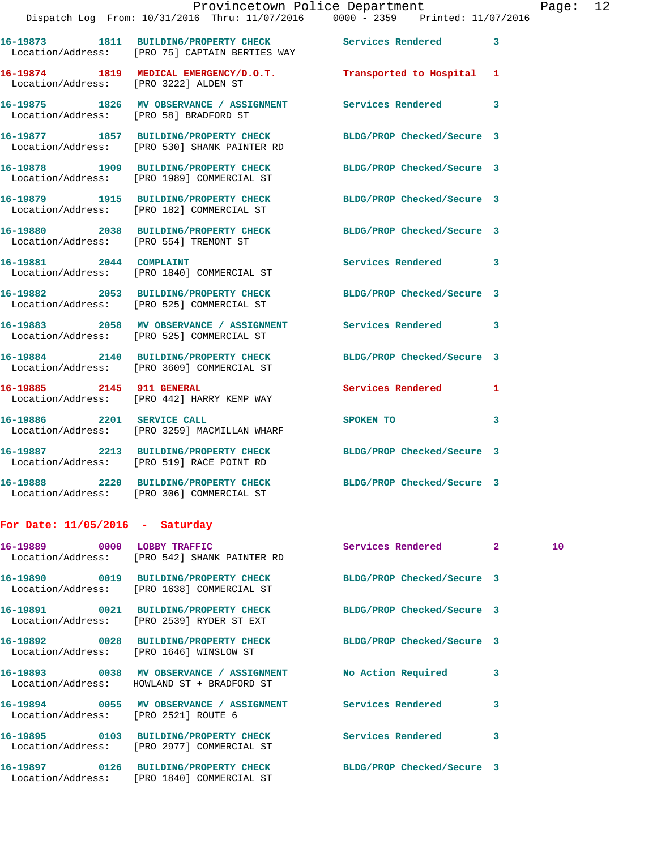|                                        | Dispatch Log From: 10/31/2016 Thru: 11/07/2016 0000 - 2359 Printed: 11/07/2016                                 |                            |  |  |
|----------------------------------------|----------------------------------------------------------------------------------------------------------------|----------------------------|--|--|
|                                        | 16-19873 1811 BUILDING/PROPERTY CHECK Services Rendered 3<br>Location/Address: [PRO 75] CAPTAIN BERTIES WAY    |                            |  |  |
| Location/Address: [PRO 3222] ALDEN ST  | 16-19874 1819 MEDICAL EMERGENCY/D.O.T. Transported to Hospital 1                                               |                            |  |  |
| Location/Address: [PRO 58] BRADFORD ST | 16-19875 1826 MV OBSERVANCE / ASSIGNMENT Services Rendered 3                                                   |                            |  |  |
|                                        | 16-19877 1857 BUILDING/PROPERTY CHECK<br>Location/Address: [PRO 530] SHANK PAINTER RD                          | BLDG/PROP Checked/Secure 3 |  |  |
|                                        | 16-19878 1909 BUILDING/PROPERTY CHECK BLDG/PROP Checked/Secure 3<br>Location/Address: [PRO 1989] COMMERCIAL ST |                            |  |  |
|                                        | 16-19879 1915 BUILDING/PROPERTY CHECK BLDG/PROP Checked/Secure 3<br>Location/Address: [PRO 182] COMMERCIAL ST  |                            |  |  |
|                                        | 16-19880 2038 BUILDING/PROPERTY CHECK BLDG/PROP Checked/Secure 3<br>Location/Address: [PRO 554] TREMONT ST     |                            |  |  |
|                                        | 16-19881 2044 COMPLAINT<br>Location/Address: [PRO 1840] COMMERCIAL ST                                          | Services Rendered 3        |  |  |
|                                        | 16-19882 2053 BUILDING/PROPERTY CHECK BLDG/PROP Checked/Secure 3<br>Location/Address: [PRO 525] COMMERCIAL ST  |                            |  |  |
|                                        | 16-19883 2058 MV OBSERVANCE / ASSIGNMENT Services Rendered 3<br>Location/Address: [PRO 525] COMMERCIAL ST      |                            |  |  |
|                                        | 16-19884 2140 BUILDING/PROPERTY CHECK<br>Location/Address: [PRO 3609] COMMERCIAL ST                            | BLDG/PROP Checked/Secure 3 |  |  |
|                                        | 16-19885 2145 911 GENERAL<br>Location/Address: [PRO 442] HARRY KEMP WAY                                        | Services Rendered 1        |  |  |
|                                        | 16-19886 2201 SERVICE CALL<br>Location/Address: [PRO 3259] MACMILLAN WHARF                                     | SPOKEN TO 3                |  |  |
|                                        | 16-19887 2213 BUILDING/PROPERTY CHECK BLDG/PROP Checked/Secure 3<br>Location/Address: [PRO 519] RACE POINT RD  |                            |  |  |
|                                        | 16-19888 2220 BUILDING/PROPERTY CHECK BLDG/PROP Checked/Secure 3<br>Location/Address: [PRO 306] COMMERCIAL ST  |                            |  |  |
|                                        |                                                                                                                |                            |  |  |

## **For Date: 11/05/2016 - Saturday**

|                                      | 16-19889 0000 LOBBY TRAFFIC<br>Location/Address: [PRO 542] SHANK PAINTER RD                                    | Services Rendered          | $2^{\circ}$             | 10 <sup>°</sup> |
|--------------------------------------|----------------------------------------------------------------------------------------------------------------|----------------------------|-------------------------|-----------------|
|                                      | 16-19890 0019 BUILDING/PROPERTY CHECK BLDG/PROP Checked/Secure 3<br>Location/Address: [PRO 1638] COMMERCIAL ST |                            |                         |                 |
|                                      | 16-19891 0021 BUILDING/PROPERTY CHECK BLDG/PROP Checked/Secure 3<br>Location/Address: [PRO 2539] RYDER ST EXT  |                            |                         |                 |
|                                      | 16-19892 0028 BUILDING/PROPERTY CHECK BLDG/PROP Checked/Secure 3<br>Location/Address: [PRO 1646] WINSLOW ST    |                            |                         |                 |
|                                      | 16-19893 0038 MV OBSERVANCE / ASSIGNMENT No Action Required<br>Location/Address: HOWLAND ST + BRADFORD ST      |                            | 3                       |                 |
| Location/Address: [PRO 2521] ROUTE 6 | 16-19894 0055 MV OBSERVANCE / ASSIGNMENT Services Rendered                                                     |                            | $\overline{\mathbf{3}}$ |                 |
|                                      | 16-19895 0103 BUILDING/PROPERTY CHECK<br>Location/Address: [PRO 2977] COMMERCIAL ST                            | <b>Services Rendered</b>   | 3                       |                 |
|                                      | 16-19897 0126 BUILDING/PROPERTY CHECK<br>Location/Address: [PRO 1840] COMMERCIAL ST                            | BLDG/PROP Checked/Secure 3 |                         |                 |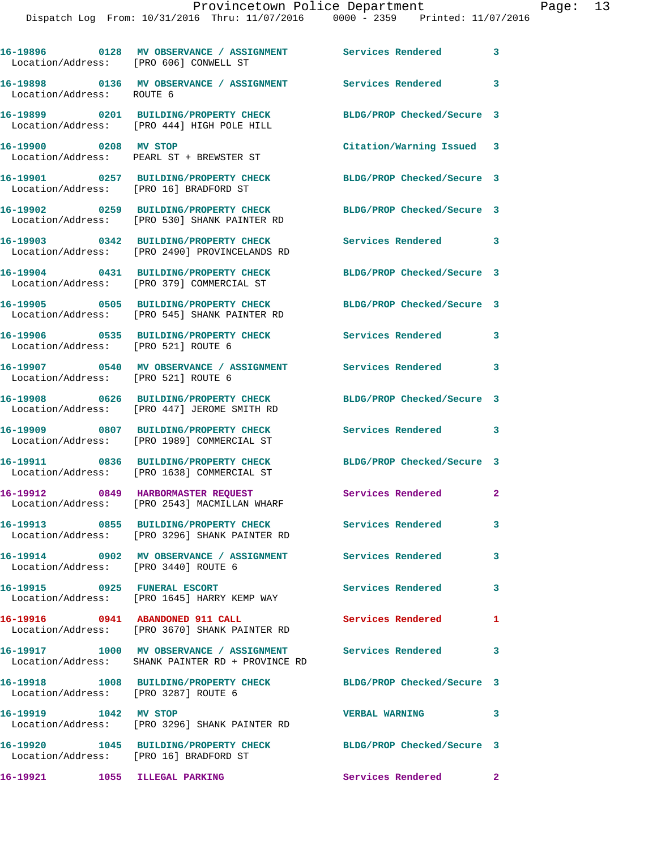| Location/Address: [PRO 606] CONWELL ST | 16-19896 0128 MV OBSERVANCE / ASSIGNMENT Services Rendered                                               |                            | 3                       |
|----------------------------------------|----------------------------------------------------------------------------------------------------------|----------------------------|-------------------------|
| Location/Address: ROUTE 6              | 16-19898 0136 MV OBSERVANCE / ASSIGNMENT                                                                 | Services Rendered          | $\overline{\mathbf{3}}$ |
|                                        | 16-19899 0201 BUILDING/PROPERTY CHECK<br>Location/Address: [PRO 444] HIGH POLE HILL                      | BLDG/PROP Checked/Secure 3 |                         |
| 16-19900 0208 MV STOP                  | Location/Address: PEARL ST + BREWSTER ST                                                                 | Citation/Warning Issued 3  |                         |
| Location/Address: [PRO 16] BRADFORD ST | 16-19901 0257 BUILDING/PROPERTY CHECK                                                                    | BLDG/PROP Checked/Secure 3 |                         |
|                                        | 16-19902 0259 BUILDING/PROPERTY CHECK<br>Location/Address: [PRO 530] SHANK PAINTER RD                    | BLDG/PROP Checked/Secure 3 |                         |
|                                        | 16-19903 0342 BUILDING/PROPERTY CHECK<br>Location/Address: [PRO 2490] PROVINCELANDS RD                   | <b>Services Rendered</b>   | 3                       |
|                                        | 16-19904 0431 BUILDING/PROPERTY CHECK<br>Location/Address: [PRO 379] COMMERCIAL ST                       | BLDG/PROP Checked/Secure 3 |                         |
|                                        | 16-19905 0505 BUILDING/PROPERTY CHECK<br>Location/Address: [PRO 545] SHANK PAINTER RD                    | BLDG/PROP Checked/Secure 3 |                         |
| Location/Address: [PRO 521] ROUTE 6    | 16-19906 0535 BUILDING/PROPERTY CHECK                                                                    | <b>Services Rendered</b>   | 3                       |
| Location/Address: [PRO 521] ROUTE 6    | 16-19907 0540 MV OBSERVANCE / ASSIGNMENT Services Rendered                                               |                            | $\overline{\mathbf{3}}$ |
|                                        | 16-19908 0626 BUILDING/PROPERTY CHECK<br>Location/Address: [PRO 447] JEROME SMITH RD                     | BLDG/PROP Checked/Secure 3 |                         |
|                                        | 16-19909 0807 BUILDING/PROPERTY CHECK<br>Location/Address: [PRO 1989] COMMERCIAL ST                      | Services Rendered 3        |                         |
|                                        | 16-19911 0836 BUILDING/PROPERTY CHECK<br>Location/Address: [PRO 1638] COMMERCIAL ST                      | BLDG/PROP Checked/Secure 3 |                         |
| 16-19912                               | 0849 HARBORMASTER REQUEST<br>Location/Address: [PRO 2543] MACMILLAN WHARF                                | Services Rendered          | $\mathbf{2}$            |
|                                        | 16-19913 0855 BUILDING/PROPERTY CHECK Services Rendered<br>Location/Address: [PRO 3296] SHANK PAINTER RD |                            | 3                       |
|                                        | 16-19914  0902 MV OBSERVANCE / ASSIGNMENT  Services Rendered<br>Location/Address: [PRO 3440] ROUTE 6     |                            | 3                       |
|                                        | 16-19915 0925 FUNERAL ESCORT<br>Location/Address: [PRO 1645] HARRY KEMP WAY                              | Services Rendered          | $\mathbf{3}$            |
|                                        | 16-19916   0941   ABANDONED   911   CALL<br>Location/Address: [PRO 3670] SHANK PAINTER RD                | Services Rendered          | 1                       |
|                                        | 16-19917 1000 MV OBSERVANCE / ASSIGNMENT<br>Location/Address: SHANK PAINTER RD + PROVINCE RD             | <b>Services Rendered</b>   | $\overline{\mathbf{3}}$ |
| Location/Address: [PRO 3287] ROUTE 6   | 16-19918 1008 BUILDING/PROPERTY CHECK                                                                    | BLDG/PROP Checked/Secure 3 |                         |
| 16-19919 1042 MV STOP                  | Location/Address: [PRO 3296] SHANK PAINTER RD                                                            | <b>VERBAL WARNING</b>      | $\overline{\mathbf{3}}$ |
| Location/Address: [PRO 16] BRADFORD ST | 16-19920 1045 BUILDING/PROPERTY CHECK BLDG/PROP Checked/Secure 3                                         |                            |                         |
| 16-19921 1055 ILLEGAL PARKING          |                                                                                                          | Services Rendered 2        |                         |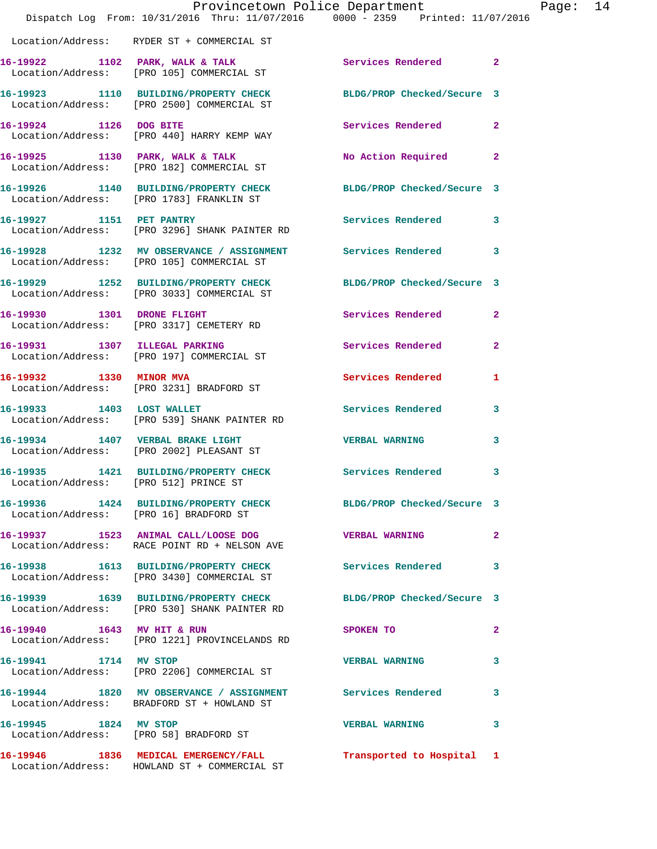|                                        | Provincetown Police Department<br>Dispatch Log From: 10/31/2016 Thru: 11/07/2016 0000 - 2359 Printed: 11/07/2016      |                            |                |
|----------------------------------------|-----------------------------------------------------------------------------------------------------------------------|----------------------------|----------------|
|                                        | Location/Address: RYDER ST + COMMERCIAL ST                                                                            |                            |                |
|                                        | 16-19922 1102 PARK, WALK & TALK 19922 Services Rendered<br>Location/Address: [PRO 105] COMMERCIAL ST                  |                            | $\mathbf{2}$   |
|                                        | 16-19923 1110 BUILDING/PROPERTY CHECK<br>Location/Address: [PRO 2500] COMMERCIAL ST                                   | BLDG/PROP Checked/Secure 3 |                |
| 16-19924 1126 DOG BITE                 | Location/Address: [PRO 440] HARRY KEMP WAY                                                                            | Services Rendered          | $\overline{2}$ |
|                                        | 16-19925 1130 PARK, WALK & TALK<br>Location/Address: [PRO 182] COMMERCIAL ST                                          | No Action Required         | $\overline{2}$ |
|                                        | 16-19926 1140 BUILDING/PROPERTY CHECK<br>Location/Address: [PRO 1783] FRANKLIN ST                                     | BLDG/PROP Checked/Secure 3 |                |
| 16-19927 1151 PET PANTRY               | Location/Address: [PRO 3296] SHANK PAINTER RD                                                                         | <b>Services Rendered</b>   | 3              |
|                                        | 16-19928 1232 MV OBSERVANCE / ASSIGNMENT<br>Location/Address: [PRO 105] COMMERCIAL ST                                 | <b>Services Rendered</b>   | 3              |
|                                        | 16-19929 1252 BUILDING/PROPERTY CHECK<br>Location/Address: [PRO 3033] COMMERCIAL ST                                   | BLDG/PROP Checked/Secure 3 |                |
|                                        | 16-19930 1301 DRONE FLIGHT<br>Location/Address: [PRO 3317] CEMETERY RD                                                | Services Rendered          | $\overline{2}$ |
|                                        | 16-19931 1307 ILLEGAL PARKING<br>Location/Address: [PRO 197] COMMERCIAL ST                                            | Services Rendered          | $\overline{2}$ |
|                                        | 16-19932 1330 MINOR MVA<br>Location/Address: [PRO 3231] BRADFORD ST                                                   | Services Rendered          | 1              |
| 16-19933 1403 LOST WALLET              | Location/Address: [PRO 539] SHANK PAINTER RD                                                                          | Services Rendered          | 3              |
|                                        | 16-19934 1407 VERBAL BRAKE LIGHT<br>Location/Address: [PRO 2002] PLEASANT ST                                          | <b>VERBAL WARNING</b>      | 3              |
| Location/Address: [PRO 512] PRINCE ST  | 16-19935 1421 BUILDING/PROPERTY CHECK                                                                                 | <b>Services Rendered</b>   |                |
| Location/Address: [PRO 16] BRADFORD ST | 16-19936 1424 BUILDING/PROPERTY CHECK BLDG/PROP Checked/Secure 3                                                      |                            |                |
|                                        | 16-19937 1523 ANIMAL CALL/LOOSE DOG<br>Location/Address: RACE POINT RD + NELSON AVE                                   | <b>VERBAL WARNING</b>      | $\mathbf{2}$   |
|                                        | 16-19938 1613 BUILDING/PROPERTY CHECK Services Rendered<br>Location/Address: [PRO 3430] COMMERCIAL ST                 |                            | 3              |
|                                        | 16-19939 1639 BUILDING/PROPERTY CHECK BLDG/PROP Checked/Secure 3<br>Location/Address: [PRO 530] SHANK PAINTER RD      |                            |                |
|                                        | 16-19940 1643 MV HIT & RUN<br>Location/Address: [PRO 1221] PROVINCELANDS RD                                           | SPOKEN TO                  | $\mathbf{2}$   |
| 16-19941 1714 MV STOP                  | Location/Address: [PRO 2206] COMMERCIAL ST                                                                            | <b>VERBAL WARNING</b>      | 3              |
|                                        | 16-19944 1820 MV OBSERVANCE / ASSIGNMENT Services Rendered<br>Location/Address: BRADFORD ST + HOWLAND ST              |                            | 3              |
| 16-19945 1824 MV STOP                  | Location/Address: [PRO 58] BRADFORD ST                                                                                | <b>VERBAL WARNING</b>      | 3              |
|                                        | 16-19946 1836 MEDICAL EMERGENCY/FALL <b>Transported</b> to Hospital 1<br>Location/Address: HOWLAND ST + COMMERCIAL ST |                            |                |

Page: 14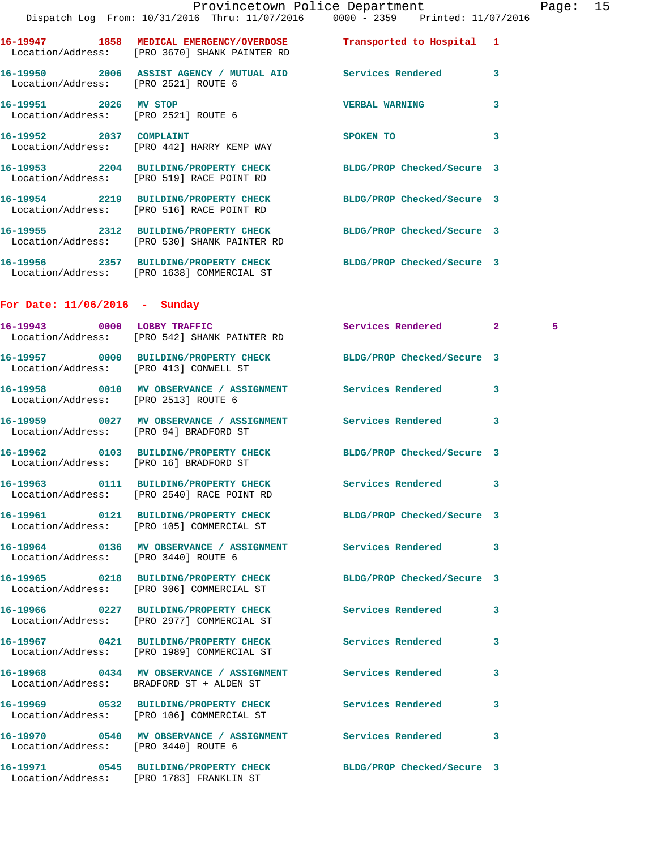| Provincetown Police Department |  |                                                                                       |                            |   |
|--------------------------------|--|---------------------------------------------------------------------------------------|----------------------------|---|
|                                |  | Dispatch Log From: 10/31/2016 Thru: 11/07/2016 0000 - 2359 Printed: 11/07/2016        |                            |   |
|                                |  | Location/Address: [PRO 3670] SHANK PAINTER RD                                         | Transported to Hospital 1  |   |
|                                |  | Location/Address: [PRO 2521] ROUTE 6                                                  |                            | 3 |
| 16-19951 2026 MV STOP          |  | Location/Address: [PRO 2521] ROUTE 6                                                  | <b>VERBAL WARNING</b>      | 3 |
| 16-19952 2037 COMPLAINT        |  | Location/Address: [PRO 442] HARRY KEMP WAY                                            | SPOKEN TO                  | 3 |
|                                |  | 16-19953 2204 BUILDING/PROPERTY CHECK<br>Location/Address: [PRO 519] RACE POINT RD    | BLDG/PROP Checked/Secure 3 |   |
|                                |  | 16-19954 2219 BUILDING/PROPERTY CHECK<br>Location/Address: [PRO 516] RACE POINT RD    | BLDG/PROP Checked/Secure 3 |   |
|                                |  | 16-19955 2312 BUILDING/PROPERTY CHECK<br>Location/Address: [PRO 530] SHANK PAINTER RD | BLDG/PROP Checked/Secure 3 |   |

**16-19956 2357 BUILDING/PROPERTY CHECK BLDG/PROP Checked/Secure 3**  Location/Address: [PRO 1638] COMMERCIAL ST

## **For Date: 11/06/2016 - Sunday**

|                                      | 16-19943 0000 LOBBY TRAFFIC<br>Location/Address: [PRO 542] SHANK PAINTER RD                                   | Services Rendered 2      |   | 5 <sub>1</sub> |
|--------------------------------------|---------------------------------------------------------------------------------------------------------------|--------------------------|---|----------------|
|                                      | 16-19957 0000 BUILDING/PROPERTY CHECK BLDG/PROP Checked/Secure 3<br>Location/Address: [PRO 413] CONWELL ST    |                          |   |                |
| Location/Address: [PRO 2513] ROUTE 6 | 16-19958 0010 MV OBSERVANCE / ASSIGNMENT Services Rendered                                                    |                          | 3 |                |
|                                      | 16-19959 0027 MV OBSERVANCE / ASSIGNMENT Services Rendered<br>Location/Address: [PRO 94] BRADFORD ST          |                          | 3 |                |
|                                      | 16-19962 0103 BUILDING/PROPERTY CHECK BLDG/PROP Checked/Secure 3<br>Location/Address: [PRO 16] BRADFORD ST    |                          |   |                |
|                                      | 16-19963 0111 BUILDING/PROPERTY CHECK Services Rendered<br>Location/Address: [PRO 2540] RACE POINT RD         |                          | 3 |                |
|                                      | 16-19961 0121 BUILDING/PROPERTY CHECK BLDG/PROP Checked/Secure 3<br>Location/Address: [PRO 105] COMMERCIAL ST |                          |   |                |
|                                      | 16-19964 0136 MV OBSERVANCE / ASSIGNMENT Services Rendered<br>Location/Address: [PRO 3440] ROUTE 6            |                          | 3 |                |
|                                      | 16-19965 0218 BUILDING/PROPERTY CHECK BLDG/PROP Checked/Secure 3<br>Location/Address: [PRO 306] COMMERCIAL ST |                          |   |                |
|                                      | 16-19966 0227 BUILDING/PROPERTY CHECK Services Rendered<br>Location/Address: [PRO 2977] COMMERCIAL ST         |                          | 3 |                |
|                                      | 16-19967 0421 BUILDING/PROPERTY CHECK Services Rendered<br>Location/Address: [PRO 1989] COMMERCIAL ST         |                          | 3 |                |
|                                      | 16-19968 0434 MV OBSERVANCE / ASSIGNMENT Services Rendered<br>Location/Address: BRADFORD ST + ALDEN ST        |                          | 3 |                |
|                                      | 16-19969 0532 BUILDING/PROPERTY CHECK<br>Location/Address: [PRO 106] COMMERCIAL ST                            | <b>Services Rendered</b> | 3 |                |
| Location/Address: [PRO 3440] ROUTE 6 | 16-19970 0540 MV OBSERVANCE / ASSIGNMENT Services Rendered                                                    |                          | 3 |                |
|                                      | 16-19971 0545 BUILDING/PROPERTY CHECK BLDG/PROP Checked/Secure 3<br>Location/Address: [PRO 1783] FRANKLIN ST  |                          |   |                |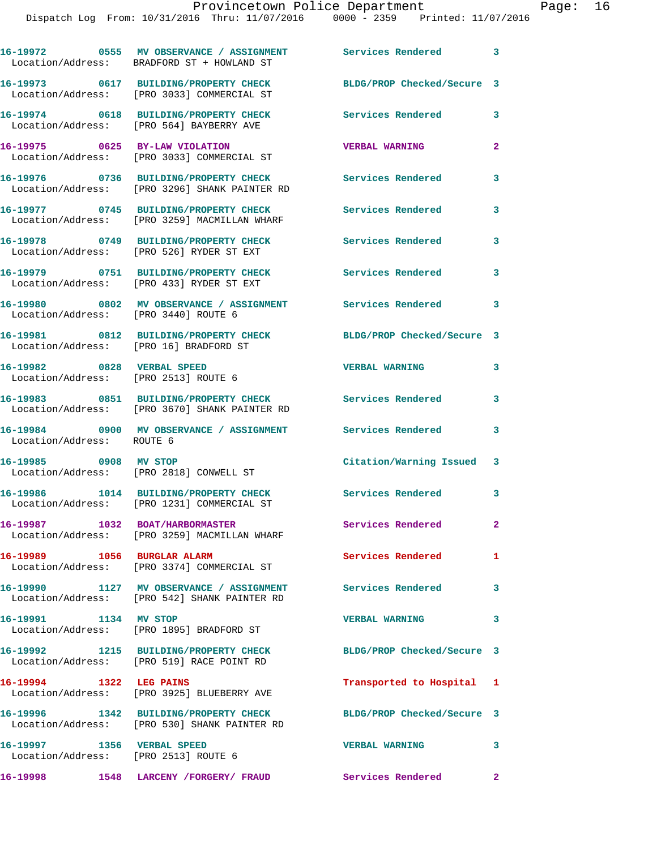|                                                                    | 16-19972 0555 MV OBSERVANCE / ASSIGNMENT Services Rendered 3<br>Location/Address: BRADFORD ST + HOWLAND ST |                            |                            |
|--------------------------------------------------------------------|------------------------------------------------------------------------------------------------------------|----------------------------|----------------------------|
|                                                                    | 16-19973 0617 BUILDING/PROPERTY CHECK<br>Location/Address: [PRO 3033] COMMERCIAL ST                        | BLDG/PROP Checked/Secure 3 |                            |
|                                                                    | 16-19974 0618 BUILDING/PROPERTY CHECK<br>Location/Address: [PRO 564] BAYBERRY AVE                          | <b>Services Rendered</b>   | 3                          |
|                                                                    | 16-19975 0625 BY-LAW VIOLATION<br>Location/Address: [PRO 3033] COMMERCIAL ST                               | <b>VERBAL WARNING</b>      | $\mathbf{2}$               |
|                                                                    | 16-19976 0736 BUILDING/PROPERTY CHECK<br>Location/Address: [PRO 3296] SHANK PAINTER RD                     | <b>Services Rendered</b>   | 3                          |
|                                                                    | 16-19977 0745 BUILDING/PROPERTY CHECK<br>Location/Address: [PRO 3259] MACMILLAN WHARF                      | <b>Services Rendered</b>   | 3                          |
|                                                                    | 16-19978 0749 BUILDING/PROPERTY CHECK<br>Location/Address: [PRO 526] RYDER ST EXT                          | <b>Services Rendered</b>   | 3                          |
|                                                                    | 16-19979 0751 BUILDING/PROPERTY CHECK<br>Location/Address: [PRO 433] RYDER ST EXT                          | <b>Services Rendered</b>   | 3                          |
| Location/Address: [PRO 3440] ROUTE 6                               | 16-19980 0802 MV OBSERVANCE / ASSIGNMENT Services Rendered                                                 |                            | 3                          |
| Location/Address: [PRO 16] BRADFORD ST                             | 16-19981 0812 BUILDING/PROPERTY CHECK BLDG/PROP Checked/Secure 3                                           |                            |                            |
| 16-19982 0828 VERBAL SPEED<br>Location/Address: [PRO 2513] ROUTE 6 |                                                                                                            | <b>VERBAL WARNING</b>      | 3                          |
|                                                                    | 16-19983 0851 BUILDING/PROPERTY CHECK Services Rendered<br>Location/Address: [PRO 3670] SHANK PAINTER RD   |                            | 3                          |
| Location/Address: ROUTE 6                                          | 16-19984      0900   MV OBSERVANCE / ASSIGNMENT      Services Rendered                                     |                            | 3                          |
| 16-19985 0908 MV STOP                                              | Location/Address: [PRO 2818] CONWELL ST                                                                    | Citation/Warning Issued 3  |                            |
|                                                                    | 16-19986 1014 BUILDING/PROPERTY CHECK<br>Location/Address: [PRO 1231] COMMERCIAL ST                        | Services Rendered          | $\overline{\phantom{a}}$ 3 |
| 16-19987 1032 BOAT/HARBORMASTER                                    | Location/Address: [PRO 3259] MACMILLAN WHARF                                                               | Services Rendered          | $\mathbf{2}^-$             |
| 16-19989 1056 BURGLAR ALARM                                        | Location/Address: [PRO 3374] COMMERCIAL ST                                                                 | Services Rendered          | 1                          |
|                                                                    | 16-19990 1127 MV OBSERVANCE / ASSIGNMENT Services Rendered<br>Location/Address: [PRO 542] SHANK PAINTER RD |                            | 3                          |
| 16-19991 1134 MV STOP                                              | Location/Address: [PRO 1895] BRADFORD ST                                                                   | <b>VERBAL WARNING</b>      | 3                          |
|                                                                    | 16-19992 1215 BUILDING/PROPERTY CHECK<br>Location/Address: [PRO 519] RACE POINT RD                         | BLDG/PROP Checked/Secure 3 |                            |
| 16-19994 1322 LEG PAINS                                            | Location/Address: [PRO 3925] BLUEBERRY AVE                                                                 | Transported to Hospital 1  |                            |
|                                                                    | 16-19996 1342 BUILDING/PROPERTY CHECK<br>Location/Address: [PRO 530] SHANK PAINTER RD                      | BLDG/PROP Checked/Secure 3 |                            |
| 16-19997 1356 VERBAL SPEED<br>Location/Address: [PRO 2513] ROUTE 6 |                                                                                                            | <b>VERBAL WARNING</b>      | 3                          |
|                                                                    |                                                                                                            | Services Rendered 2        |                            |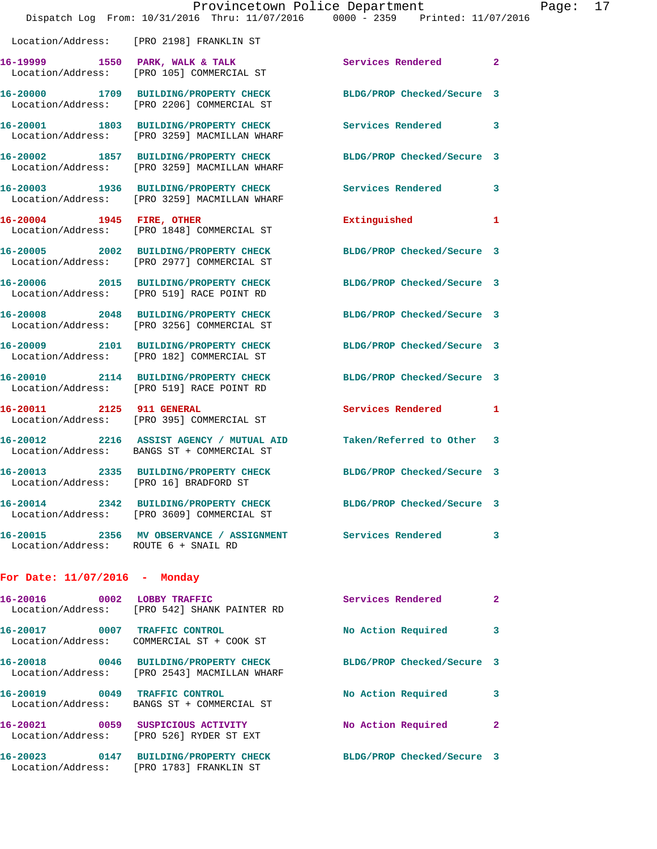|                                                                                        | Provincetown Police Department               | Dispatch Log From: 10/31/2016 Thru: 11/07/2016 0000 - 2359 Printed: 11/07/2016 |                |
|----------------------------------------------------------------------------------------|----------------------------------------------|--------------------------------------------------------------------------------|----------------|
| Location/Address: [PRO 2198] FRANKLIN ST                                               |                                              |                                                                                |                |
| Location/Address: [PRO 105] COMMERCIAL ST                                              |                                              | 16-19999 1550 PARK, WALK & TALK Services Rendered                              | $\overline{2}$ |
| 16-20000 1709 BUILDING/PROPERTY CHECK<br>Location/Address: [PRO 2206] COMMERCIAL ST    |                                              | BLDG/PROP Checked/Secure 3                                                     |                |
| 16-20001 1803 BUILDING/PROPERTY CHECK<br>Location/Address: [PRO 3259] MACMILLAN WHARF  |                                              | Services Rendered                                                              | 3              |
| 16-20002 1857 BUILDING/PROPERTY CHECK                                                  | Location/Address: [PRO 3259] MACMILLAN WHARF | BLDG/PROP Checked/Secure 3                                                     |                |
| Location/Address: [PRO 3259] MACMILLAN WHARF                                           | 16-20003 1936 BUILDING/PROPERTY CHECK        | <b>Services Rendered</b>                                                       | 3              |
| 16-20004 1945 FIRE, OTHER<br>Location/Address: [PRO 1848] COMMERCIAL ST                |                                              | Extinguished                                                                   | 1              |
| 16-20005 2002 BUILDING/PROPERTY CHECK<br>Location/Address: [PRO 2977] COMMERCIAL ST    |                                              | BLDG/PROP Checked/Secure 3                                                     |                |
| 16-20006 2015 BUILDING/PROPERTY CHECK<br>Location/Address: [PRO 519] RACE POINT RD     |                                              | BLDG/PROP Checked/Secure 3                                                     |                |
| 16-20008 2048 BUILDING/PROPERTY CHECK<br>Location/Address: [PRO 3256] COMMERCIAL ST    |                                              | BLDG/PROP Checked/Secure 3                                                     |                |
| 16-20009 2101 BUILDING/PROPERTY CHECK<br>Location/Address: [PRO 182] COMMERCIAL ST     |                                              | BLDG/PROP Checked/Secure 3                                                     |                |
| 16-20010 2114 BUILDING/PROPERTY CHECK<br>Location/Address: [PRO 519] RACE POINT RD     |                                              | BLDG/PROP Checked/Secure 3                                                     |                |
| 16-20011 2125 911 GENERAL<br>Location/Address: [PRO 395] COMMERCIAL ST                 |                                              | Services Rendered                                                              | 1              |
| 16-20012 2216 ASSIST AGENCY / MUTUAL AID<br>Location/Address: BANGS ST + COMMERCIAL ST |                                              | Taken/Referred to Other                                                        | 3              |
| Location/Address: [PRO 16] BRADFORD ST                                                 |                                              | 16-20013 2335 BUILDING/PROPERTY CHECK BLDG/PROP Checked/Secure 3               |                |
| Location/Address: [PRO 3609] COMMERCIAL ST                                             |                                              | 16-20014 2342 BUILDING/PROPERTY CHECK BLDG/PROP Checked/Secure 3               |                |
| Location/Address: ROUTE 6 + SNAIL RD                                                   |                                              | 16-20015 2356 MV OBSERVANCE / ASSIGNMENT Services Rendered                     | 3              |
| For Date: $11/07/2016$ - Monday                                                        |                                              |                                                                                |                |
| 16-20016 0002 LOBBY TRAFFIC<br>Location/Address: [PRO 542] SHANK PAINTER RD            |                                              | Services Rendered                                                              | $\mathbf{2}$   |
| 16-20017 0007 TRAFFIC CONTROL<br>Location/Address: COMMERCIAL ST + COOK ST             |                                              | No Action Required                                                             | 3              |
| Location/Address: [PRO 2543] MACMILLAN WHARF                                           | 16-20018 0046 BUILDING/PROPERTY CHECK        | BLDG/PROP Checked/Secure 3                                                     |                |
| 16-20019 0049 TRAFFIC CONTROL<br>Location/Address: BANGS ST + COMMERCIAL ST            |                                              | No Action Required                                                             | 3              |
| 16-20021 0059 SUSPICIOUS ACTIVITY<br>Location/Address: [PRO 526] RYDER ST EXT          |                                              | No Action Required                                                             | $\mathbf{2}$   |
| 16-20023 0147 BUILDING/PROPERTY CHECK<br>Location/Address: [PRO 1783] FRANKLIN ST      |                                              | BLDG/PROP Checked/Secure 3                                                     |                |

Page: 17